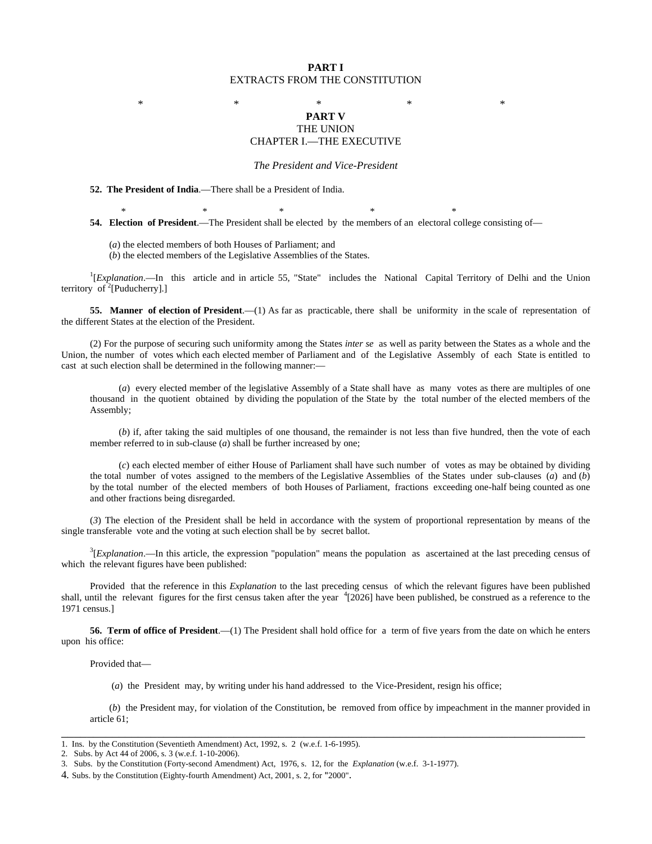# **PART I**  EXTRACTS FROM THE CONSTITUTION

# $*$  \*  $*$  \*  $*$  \*  $*$  \*  $*$  \* **PART V**  THE UNION CHAPTER I.—THE EXECUTIVE

#### *The President and Vice-President*

**52. The President of India**.—There shall be a President of India.

 $*$   $*$   $*$   $*$   $*$   $*$   $*$ **54. Election of President**.—The President shall be elected by the members of an electoral college consisting of—

(*a*) the elected members of both Houses of Parliament; and (*b*) the elected members of the Legislative Assemblies of the States.

<sup>1</sup>[*Explanation*.—In this article and in article 55, "State" includes the National Capital Territory of Delhi and the Union territory of <sup>2</sup>[Puducherry].]

**55. Manner of election of President**.—(1) As far as practicable, there shall be uniformity in the scale of representation of the different States at the election of the President.

(2) For the purpose of securing such uniformity among the States *inter se* as well as parity between the States as a whole and the Union, the number of votes which each elected member of Parliament and of the Legislative Assembly of each State is entitled to cast at such election shall be determined in the following manner:—

(*a*) every elected member of the legislative Assembly of a State shall have as many votes as there are multiples of one thousand in the quotient obtained by dividing the population of the State by the total number of the elected members of the Assembly;

(*b*) if, after taking the said multiples of one thousand, the remainder is not less than five hundred, then the vote of each member referred to in sub-clause (*a*) shall be further increased by one;

(*c*) each elected member of either House of Parliament shall have such number of votes as may be obtained by dividing the total number of votes assigned to the members of the Legislative Assemblies of the States under sub-clauses (*a*) and (*b*) by the total number of the elected members of both Houses of Parliament, fractions exceeding one-half being counted as one and other fractions being disregarded.

(*3*) The election of the President shall be held in accordance with the system of proportional representation by means of the single transferable vote and the voting at such election shall be by secret ballot.

<sup>3</sup>[*Explanation*.—In this article, the expression "population" means the population as ascertained at the last preceding census of which the relevant figures have been published:

Provided that the reference in this *Explanation* to the last preceding census of which the relevant figures have been published shall, until the relevant figures for the first census taken after the year  $4$ [2026] have been published, be construed as a reference to the 1971 census.]

**56. Term of office of President**.—(1) The President shall hold office for a term of five years from the date on which he enters upon his office:

Provided that—

(*a*) the President may, by writing under his hand addressed to the Vice-President, resign his office;

(*b*) the President may, for violation of the Constitution, be removed from office by impeachment in the manner provided in article 61;

<sup>1.</sup> Ins. by the Constitution (Seventieth Amendment) Act, 1992, s. 2 (w.e.f. 1-6-1995).

<sup>2.</sup> Subs. by Act 44 of 2006, s. 3 (w.e.f. 1-10-2006).

<sup>3.</sup> Subs. by the Constitution (Forty-second Amendment) Act, 1976, s. 12, for the *Explanation* (w.e.f. 3-1-1977).

<sup>4</sup>*.* Subs. by the Constitution (Eighty-fourth Amendment) Act, 2001, s. 2, for "2000".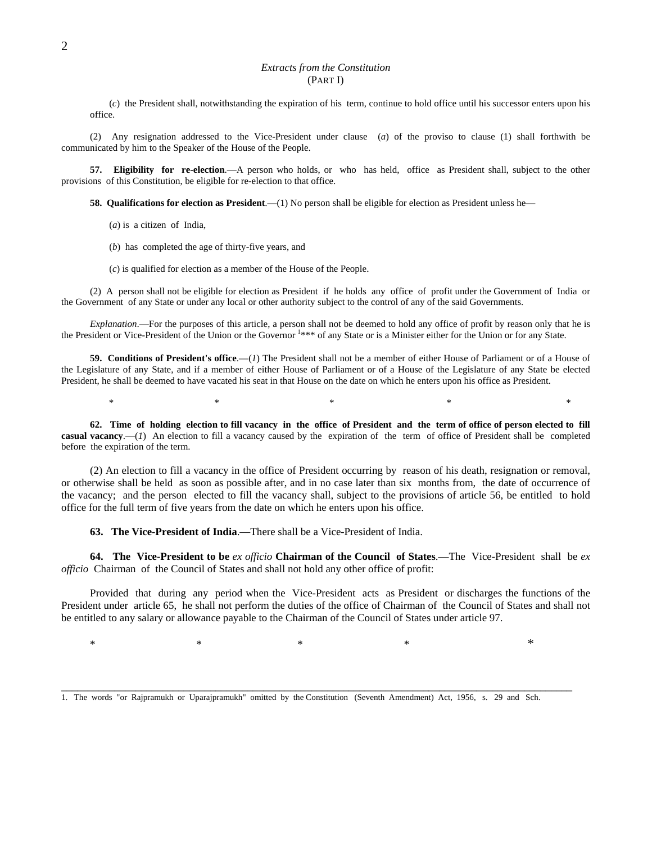(*c*) the President shall, notwithstanding the expiration of his term, continue to hold office until his successor enters upon his office.

(2) Any resignation addressed to the Vice-President under clause (*a*) of the proviso to clause (1) shall forthwith be communicated by him to the Speaker of the House of the People.

**57. Eligibility for re-election**.—A person who holds, or who has held, office as President shall, subject to the other provisions of this Constitution, be eligible for re-election to that office.

**58. Qualifications for election as President**.—(1) No person shall be eligible for election as President unless he—

- (*a*) is a citizen of India,
- (*b*) has completed the age of thirty-five years, and
- (*c*) is qualified for election as a member of the House of the People.

(2) A person shall not be eligible for election as President if he holds any office of profit under the Government of India or the Government of any State or under any local or other authority subject to the control of any of the said Governments.

*Explanation*.—For the purposes of this article, a person shall not be deemed to hold any office of profit by reason only that he is the President or Vice-President of the Union or the Governor <sup>1\*\*\*</sup> of any State or is a Minister either for the Union or for any State.

**59. Conditions of President's office**.—(*1*) The President shall not be a member of either House of Parliament or of a House of the Legislature of any State, and if a member of either House of Parliament or of a House of the Legislature of any State be elected President, he shall be deemed to have vacated his seat in that House on the date on which he enters upon his office as President.

**62. Time of holding election to fill vacancy in the office of President and the term of office of person elected to fill casual vacancy.**—(*I*) An election to fill a vacancy caused by the expiration of the term of office of President shall be completed before the expiration of the term.

 $*$   $*$   $*$   $*$   $*$   $*$   $*$   $*$   $*$   $*$ 

(2) An election to fill a vacancy in the office of President occurring by reason of his death, resignation or removal, or otherwise shall be held as soon as possible after, and in no case later than six months from, the date of occurrence of the vacancy; and the person elected to fill the vacancy shall, subject to the provisions of article 56, be entitled to hold office for the full term of five years from the date on which he enters upon his office.

**63. The Vice-President of India**.—There shall be a Vice-President of India.

**64. The Vice-President to be** *ex officio* **Chairman of the Council of States**.—The Vice-President shall be *ex officio* Chairman of the Council of States and shall not hold any other office of profit:

Provided that during any period when the Vice-President acts as President or discharges the functions of the President under article 65, he shall not perform the duties of the office of Chairman of the Council of States and shall not be entitled to any salary or allowance payable to the Chairman of the Council of States under article 97.

 $*$   $*$   $*$   $*$   $*$   $*$   $*$ 

\_\_\_\_\_\_\_\_\_\_\_\_\_\_\_\_\_\_\_\_\_\_\_\_\_\_\_\_\_\_\_\_\_\_\_\_\_\_\_\_\_\_\_\_\_\_\_\_\_\_\_\_\_\_\_\_\_\_\_\_\_\_\_\_\_\_\_\_\_\_\_\_\_\_\_\_\_\_\_\_\_\_\_\_\_\_\_\_\_\_\_\_\_\_\_\_

1. The words "or Rajpramukh or Uparajpramukh" omitted by the Constitution (Seventh Amendment) Act, 1956, s. 29 and Sch.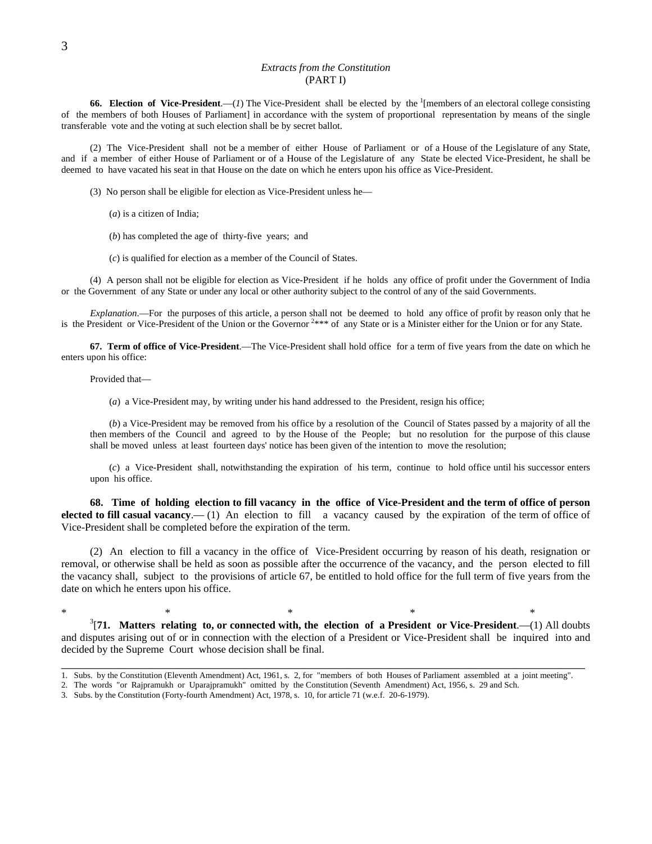**66. Election of Vice-President**.—(*1*) The Vice-President shall be elected by the  $^1$ [members of an electoral college consisting of the members of both Houses of Parliament] in accordance with the system of proportional representation by means of the single transferable vote and the voting at such election shall be by secret ballot.

(2) The Vice-President shall not be a member of either House of Parliament or of a House of the Legislature of any State, and if a member of either House of Parliament or of a House of the Legislature of any State be elected Vice-President, he shall be deemed to have vacated his seat in that House on the date on which he enters upon his office as Vice-President.

- (3) No person shall be eligible for election as Vice-President unless he—
	- (*a*) is a citizen of India;
	- (*b*) has completed the age of thirty-five years; and
	- (*c*) is qualified for election as a member of the Council of States.

(4) A person shall not be eligible for election as Vice-President if he holds any office of profit under the Government of India or the Government of any State or under any local or other authority subject to the control of any of the said Governments.

*Explanation*.—For the purposes of this article, a person shall not be deemed to hold any office of profit by reason only that he is the President or Vice-President of the Union or the Governor<sup>2\*\*\*</sup> of any State or is a Minister either for the Union or for any State.

**67. Term of office of Vice-President**.—The Vice-President shall hold office for a term of five years from the date on which he enters upon his office:

Provided that—

(*a*) a Vice-President may, by writing under his hand addressed to the President, resign his office;

(*b*) a Vice-President may be removed from his office by a resolution of the Council of States passed by a majority of all the then members of the Council and agreed to by the House of the People; but no resolution for the purpose of this clause shall be moved unless at least fourteen days' notice has been given of the intention to move the resolution;

(*c*) a Vice-President shall, notwithstanding the expiration of his term, continue to hold office until his successor enters upon his office.

**68. Time of holding election to fill vacancy in the office of Vice-President and the term of office of person elected to fill casual vacancy**.— (1) An election to fill a vacancy caused by the expiration of the term of office of Vice-President shall be completed before the expiration of the term.

(2) An election to fill a vacancy in the office of Vice-President occurring by reason of his death, resignation or removal, or otherwise shall be held as soon as possible after the occurrence of the vacancy, and the person elected to fill the vacancy shall, subject to the provisions of article 67, be entitled to hold office for the full term of five years from the date on which he enters upon his office.

\* \* \* \* \* 3 [**71. Matters relating to, or connected with, the election of a President or Vice-President**.—(1) All doubts and disputes arising out of or in connection with the election of a President or Vice-President shall be inquired into and decided by the Supreme Court whose decision shall be final.

<sup>1.</sup> Subs. by the Constitution (Eleventh Amendment) Act, 1961, s. 2, for "members of both Houses of Parliament assembled at a joint meeting".

<sup>2.</sup> The words "or Rajpramukh or Uparajpramukh" omitted by the Constitution (Seventh Amendment) Act, 1956, s. 29 and Sch.

<sup>3.</sup> Subs. by the Constitution (Forty-fourth Amendment) Act, 1978, s. 10, for article 71 (w.e.f. 20-6-1979).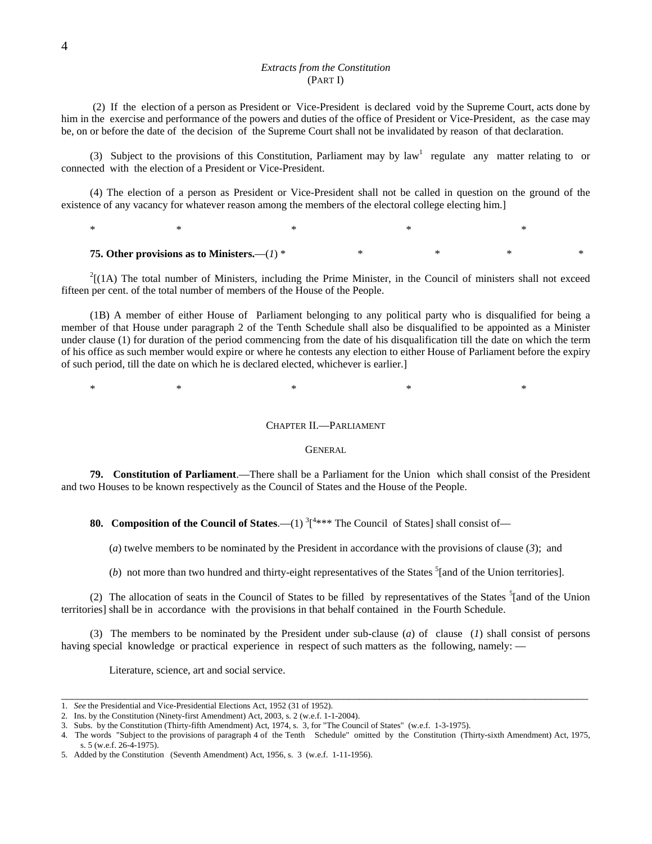(2) If the election of a person as President or Vice-President is declared void by the Supreme Court, acts done by him in the exercise and performance of the powers and duties of the office of President or Vice-President, as the case may be, on or before the date of the decision of the Supreme Court shall not be invalidated by reason of that declaration.

(3) Subject to the provisions of this Constitution, Parliament may by  $law<sup>1</sup>$  regulate any matter relating to or connected with the election of a President or Vice-President.

(4) The election of a person as President or Vice-President shall not be called in question on the ground of the existence of any vacancy for whatever reason among the members of the electoral college electing him.]

 $*$   $*$   $*$   $*$   $*$   $*$   $*$   $*$   $*$ **75. Other provisions as to Ministers.**—(*1*) \* \* \* \* \*

 $^{2}$ [(1A) The total number of Ministers, including the Prime Minister, in the Council of ministers shall not exceed fifteen per cent. of the total number of members of the House of the People.

(1B) A member of either House of Parliament belonging to any political party who is disqualified for being a member of that House under paragraph 2 of the Tenth Schedule shall also be disqualified to be appointed as a Minister under clause (1) for duration of the period commencing from the date of his disqualification till the date on which the term of his office as such member would expire or where he contests any election to either House of Parliament before the expiry of such period, till the date on which he is declared elected, whichever is earlier.]

 $*$   $*$   $*$   $*$   $*$   $*$   $*$   $*$   $*$ 

#### CHAPTER II.—PARLIAMENT

#### GENERAL

**79. Constitution of Parliament**.—There shall be a Parliament for the Union which shall consist of the President and two Houses to be known respectively as the Council of States and the House of the People.

**80. Composition of the Council of States.**  $\left(1\right)^{3}$ <sup> $4**$ </sup> The Council of States] shall consist of

(*a*) twelve members to be nominated by the President in accordance with the provisions of clause (*3*); and

 $(b)$  not more than two hundred and thirty-eight representatives of the States  $\frac{1}{2}$  [and of the Union territories].

(2) The allocation of seats in the Council of States to be filled by representatives of the States  $5$ [and of the Union territories] shall be in accordance with the provisions in that behalf contained in the Fourth Schedule.

(3) The members to be nominated by the President under sub-clause (*a*) of clause (*1*) shall consist of persons having special knowledge or practical experience in respect of such matters as the following, namely: —

Literature, science, art and social service.

<sup>1.</sup> *See* the Presidential and Vice-Presidential Elections Act, 1952 (31 of 1952).

<sup>2.</sup> Ins. by the Constitution (Ninety-first Amendment) Act, 2003, s. 2 (w.e.f. 1-1-2004).

<sup>3.</sup> Subs. by the Constitution (Thirty-fifth Amendment) Act, 1974, s. 3, for "The Council of States" (w.e.f. 1-3-1975).

<sup>4.</sup> The words "Subject to the provisions of paragraph 4 of the Tenth Schedule" omitted by the Constitution (Thirty-sixth Amendment) Act, 1975, s. 5 (w.e.f. 26-4-1975).

<sup>5.</sup> Added by the Constitution (Seventh Amendment) Act, 1956, s. 3 (w.e.f. 1-11-1956).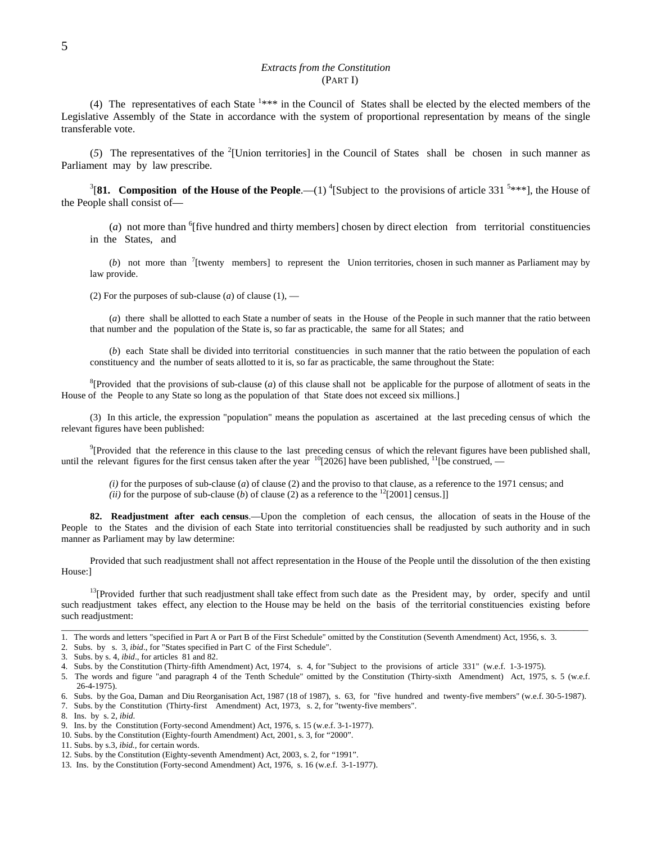(4) The representatives of each State  $1***$  in the Council of States shall be elected by the elected members of the Legislative Assembly of the State in accordance with the system of proportional representation by means of the single transferable vote.

(5) The representatives of the <sup>2</sup>[Union territories] in the Council of States shall be chosen in such manner as Parliament may by law prescribe.

<sup>3</sup>[81. Composition of the House of the People.—(1)<sup>4</sup>[Subject to the provisions of article 331<sup>5\*\*\*</sup>], the House of the People shall consist of—

( $a$ ) not more than <sup>6</sup>[five hundred and thirty members] chosen by direct election from territorial constituencies in the States, and

(*b*) not more than  $\frac{7}{1}$  [twenty members] to represent the Union territories, chosen in such manner as Parliament may by law provide.

(2) For the purposes of sub-clause (*a*) of clause (1), —

(*a*) there shall be allotted to each State a number of seats in the House of the People in such manner that the ratio between that number and the population of the State is, so far as practicable, the same for all States; and

(*b*) each State shall be divided into territorial constituencies in such manner that the ratio between the population of each constituency and the number of seats allotted to it is, so far as practicable, the same throughout the State:

 ${}^8$ [Provided that the provisions of sub-clause (*a*) of this clause shall not be applicable for the purpose of allotment of seats in the House of the People to any State so long as the population of that State does not exceed six millions.]

(3) In this article, the expression "population" means the population as ascertained at the last preceding census of which the relevant figures have been published:

<sup>9</sup>[Provided that the reference in this clause to the last preceding census of which the relevant figures have been published shall, until the relevant figures for the first census taken after the year  $^{10}$ [2026] have been published,  $^{11}$ [be construed, —

*(i)* for the purposes of sub-clause (*a*) of clause (2) and the proviso to that clause, as a reference to the 1971 census; and *(ii)* for the purpose of sub-clause *(b)* of clause (2) as a reference to the <sup>12</sup>[2001] census.]]

**82. Readjustment after each census**.—Upon the completion of each census, the allocation of seats in the House of the People to the States and the division of each State into territorial constituencies shall be readjusted by such authority and in such manner as Parliament may by law determine:

Provided that such readjustment shall not affect representation in the House of the People until the dissolution of the then existing House:]

 $13$ [Provided further that such readjustment shall take effect from such date as the President may, by order, specify and until such readjustment takes effect, any election to the House may be held on the basis of the territorial constituencies existing before such readjustment:

\_\_\_\_\_\_\_\_\_\_\_\_\_\_\_\_\_\_\_\_\_\_\_\_\_\_\_\_\_\_\_\_\_\_\_\_\_\_\_\_\_\_\_\_\_\_\_\_\_\_\_\_\_\_\_\_\_\_\_\_\_\_\_\_\_\_\_\_\_\_\_\_\_\_\_\_\_\_\_\_\_\_\_\_\_\_\_\_\_\_\_\_\_\_\_\_\_\_\_\_\_\_\_\_\_\_\_\_\_\_

2. Subs. by s. 3, *ibid*., for "States specified in Part C of the First Schedule".

- 5. The words and figure "and paragraph 4 of the Tenth Schedule" omitted by the Constitution (Thirty-sixth Amendment) Act, 1975, s. 5 (w.e.f. 26-4-1975).
- 6. Subs. by the Goa, Daman and Diu Reorganisation Act, 1987 (18 of 1987), s. 63, for "five hundred and twenty-five members" (w.e.f. 30-5-1987).
- 7. Subs. by the Constitution (Thirty-first Amendment) Act, 1973, s. 2, for "twenty-five members".
- 8. Ins. by s. 2, *ibid*.

11. Subs. by s.3, *ibid.,* for certain words.

<sup>1.</sup> The words and letters "specified in Part A or Part B of the First Schedule" omitted by the Constitution (Seventh Amendment) Act, 1956, s. 3.

<sup>3.</sup> Subs. by s. 4, *ibid*., for articles 81 and 82.

<sup>4.</sup> Subs. by the Constitution (Thirty-fifth Amendment) Act, 1974, s. 4, for "Subject to the provisions of article 331" (w.e.f. 1-3-1975).

<sup>9.</sup> Ins. by the Constitution (Forty-second Amendment) Act, 1976, s. 15 (w.e.f. 3-1-1977).

<sup>10.</sup> Subs. by the Constitution (Eighty-fourth Amendment) Act, 2001, s. 3, for "2000".

<sup>12.</sup> Subs. by the Constitution (Eighty-seventh Amendment) Act, 2003, s. 2, for "1991".

<sup>13.</sup> Ins. by the Constitution (Forty-second Amendment) Act, 1976, s. 16 (w.e.f. 3-1-1977).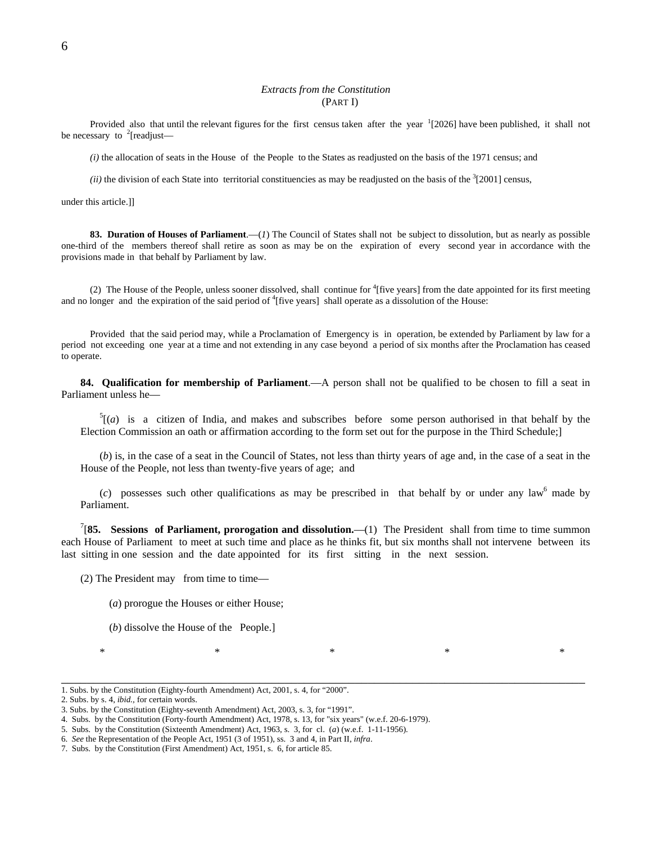Provided also that until the relevant figures for the first census taken after the year  $1$ [2026] have been published, it shall not be necessary to <sup>2</sup>[readjust—

*(i)* the allocation of seats in the House of the People to the States as readjusted on the basis of the 1971 census; and

 $(ii)$  the division of each State into territorial constituencies as may be readjusted on the basis of the  $3$ [2001] census,

under this article.]]

**83. Duration of Houses of Parliament**.—(*1*) The Council of States shall not be subject to dissolution, but as nearly as possible one-third of the members thereof shall retire as soon as may be on the expiration of every second year in accordance with the provisions made in that behalf by Parliament by law.

(2) The House of the People, unless sooner dissolved, shall continue for <sup>4</sup>[five years] from the date appointed for its first meeting and no longer and the expiration of the said period of <sup>4</sup>[five years] shall operate as a dissolution of the House:

Provided that the said period may, while a Proclamation of Emergency is in operation, be extended by Parliament by law for a period not exceeding one year at a time and not extending in any case beyond a period of six months after the Proclamation has ceased to operate.

**84. Qualification for membership of Parliament**.—A person shall not be qualified to be chosen to fill a seat in Parliament unless he—

 $5[(a)$  is a citizen of India, and makes and subscribes before some person authorised in that behalf by the Election Commission an oath or affirmation according to the form set out for the purpose in the Third Schedule;]

(*b*) is, in the case of a seat in the Council of States, not less than thirty years of age and, in the case of a seat in the House of the People, not less than twenty-five years of age; and

 $(c)$  possesses such other qualifications as may be prescribed in that behalf by or under any law<sup>6</sup> made by Parliament.

7 [**85. Sessions of Parliament, prorogation and dissolution.**—(1) The President shall from time to time summon each House of Parliament to meet at such time and place as he thinks fit, but six months shall not intervene between its last sitting in one session and the date appointed for its first sitting in the next session.

\_\_\_\_\_\_\_\_\_\_\_\_\_\_\_\_\_\_\_\_\_\_\_\_\_\_\_\_\_\_\_\_\_\_\_\_\_\_\_\_\_\_\_\_\_\_\_\_\_\_\_\_\_\_\_\_\_\_\_\_\_\_\_\_\_\_\_\_\_\_\_\_\_\_\_\_\_\_\_\_\_\_

(2) The President may from time to time—

- (*a*) prorogue the Houses or either House;
- (*b*) dissolve the House of the People.]
- $*$   $*$   $*$   $*$   $*$   $*$   $*$   $*$   $*$   $*$

<sup>1.</sup> Subs. by the Constitution (Eighty-fourth Amendment) Act, 2001, s. 4, for "2000".

<sup>2.</sup> Subs. by s. 4, *ibid.,* for certain words.

<sup>3.</sup> Subs. by the Constitution (Eighty-seventh Amendment) Act, 2003, s. 3, for "1991".

<sup>4.</sup> Subs. by the Constitution (Forty-fourth Amendment) Act, 1978, s. 13, for "six years" (w.e.f. 20-6-1979).

<sup>5.</sup> Subs. by the Constitution (Sixteenth Amendment) Act, 1963, s. 3, for cl. (*a*) (w.e.f. 1-11-1956).

<sup>6.</sup> *See* the Representation of the People Act, 1951 (3 of 1951), ss. 3 and 4, in Part II, *infra*.

<sup>7.</sup> Subs. by the Constitution (First Amendment) Act, 1951, s. 6, for article 85.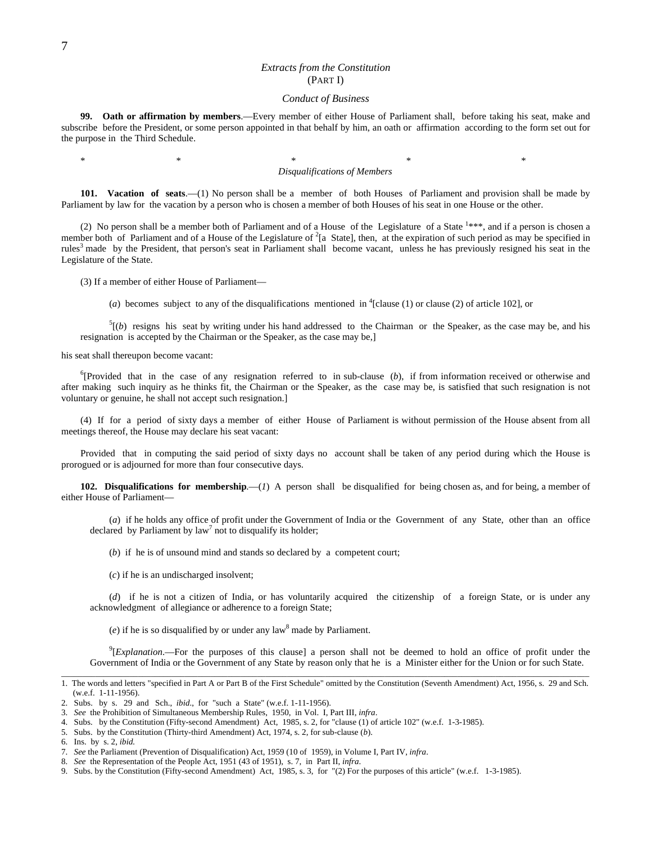# *Conduct of Business*

**99. Oath or affirmation by members**.—Every member of either House of Parliament shall, before taking his seat, make and subscribe before the President, or some person appointed in that behalf by him, an oath or affirmation according to the form set out for the purpose in the Third Schedule.

#### \* \* \* \* \* *Disqualifications of Members*

**101. Vacation of seats**.—(1) No person shall be a member of both Houses of Parliament and provision shall be made by Parliament by law for the vacation by a person who is chosen a member of both Houses of his seat in one House or the other.

(2) No person shall be a member both of Parliament and of a House of the Legislature of a State  $1***$ , and if a person is chosen a member both of Parliament and of a House of the Legislature of <sup>2</sup>[a State], then, at the expiration of such period as may be specified in rules<sup>3</sup> made by the President, that person's seat in Parliament shall become vacant, unless he has previously resigned his seat in the Legislature of the State.

(3) If a member of either House of Parliament—

(*a*) becomes subject to any of the disqualifications mentioned in  ${}^{4}$ [clause (1) or clause (2) of article 102], or

 ${}^5(b)$  resigns his seat by writing under his hand addressed to the Chairman or the Speaker, as the case may be, and his resignation is accepted by the Chairman or the Speaker, as the case may be,]

his seat shall thereupon become vacant:

6 [Provided that in the case of any resignation referred to in sub-clause (*b*), if from information received or otherwise and after making such inquiry as he thinks fit, the Chairman or the Speaker, as the case may be, is satisfied that such resignation is not voluntary or genuine, he shall not accept such resignation.]

(4) If for a period of sixty days a member of either House of Parliament is without permission of the House absent from all meetings thereof, the House may declare his seat vacant:

Provided that in computing the said period of sixty days no account shall be taken of any period during which the House is prorogued or is adjourned for more than four consecutive days.

**102. Disqualifications for membership**.—(*1*) A person shall be disqualified for being chosen as, and for being, a member of either House of Parliament—

(*a*) if he holds any office of profit under the Government of India or the Government of any State, other than an office declared by Parliament by law<sup>7</sup> not to disqualify its holder;

(*b*) if he is of unsound mind and stands so declared by a competent court;

(*c*) if he is an undischarged insolvent;

(*d*) if he is not a citizen of India, or has voluntarily acquired the citizenship of a foreign State, or is under any acknowledgment of allegiance or adherence to a foreign State;

 $(e)$  if he is so disqualified by or under any law<sup>8</sup> made by Parliament.

9 [*Explanation*.—For the purposes of this clause] a person shall not be deemed to hold an office of profit under the Government of India or the Government of any State by reason only that he is a Minister either for the Union or for such State.

\_\_\_\_\_\_\_\_\_\_\_\_\_\_\_\_\_\_\_\_\_\_\_\_\_\_\_\_\_\_\_\_\_\_\_\_\_\_\_\_\_\_\_\_\_\_\_\_\_\_\_\_\_\_\_\_\_\_\_\_\_\_\_\_\_\_\_\_\_\_\_\_\_\_\_\_\_\_\_\_\_\_\_\_\_\_\_\_\_\_\_\_\_\_\_\_\_\_\_\_\_\_\_\_\_\_\_\_\_\_\_\_\_\_\_\_\_\_\_\_\_\_\_\_ 1. The words and letters "specified in Part A or Part B of the First Schedule" omitted by the Constitution (Seventh Amendment) Act, 1956, s. 29 and Sch. (w.e.f. 1-11-1956).

<sup>2.</sup> Subs. by s. 29 and Sch., *ibid*., for "such a State" (w.e.f. 1-11-1956).

<sup>3.</sup> *See* the Prohibition of Simultaneous Membership Rules, 1950, in Vol. I, Part III, *infra*.

<sup>4.</sup> Subs. by the Constitution (Fifty-second Amendment) Act, 1985, s. 2, for "clause (1) of article 102" (w.e.f. 1-3-1985).

<sup>5.</sup> Subs. by the Constitution (Thirty-third Amendment) Act, 1974, s. 2, for sub-clause (*b*).

<sup>6.</sup> Ins. by s. 2, *ibid.*

<sup>7.</sup> *See* the Parliament (Prevention of Disqualification) Act, 1959 (10 of 1959), in Volume I, Part IV, *infra*.

<sup>8.</sup> *See* the Representation of the People Act, 1951 (43 of 1951), s. 7, in Part II, *infra*.

<sup>9.</sup> Subs. by the Constitution (Fifty-second Amendment) Act, 1985, s. 3, for "(2) For the purposes of this article" (w.e.f. 1-3-1985).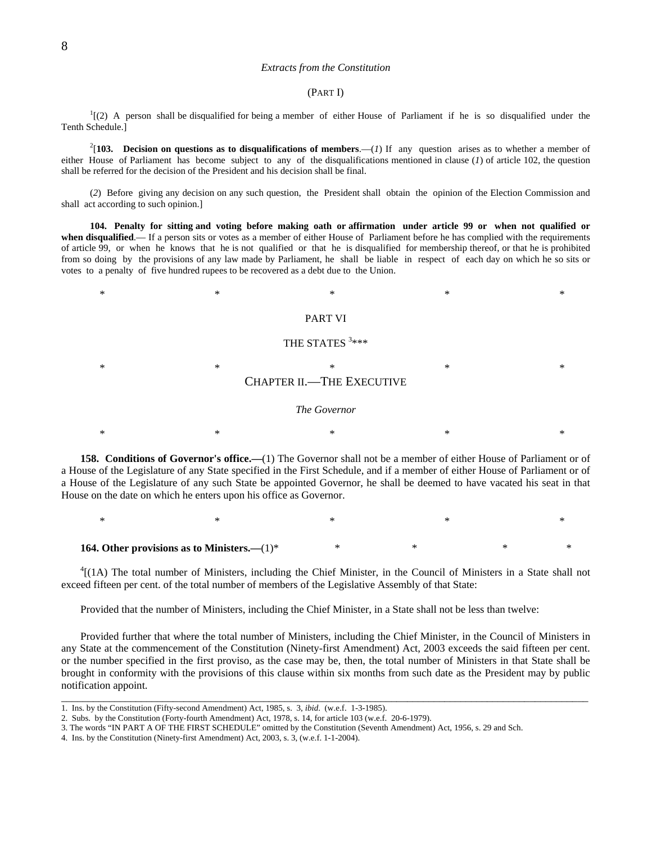#### *Extracts from the Constitution*

#### (PART I)

<sup>1</sup>[(2) A person shall be disqualified for being a member of either House of Parliament if he is so disqualified under the Tenth Schedule.]

 $^{2}[103.$  **Decision on questions as to disqualifications of members.—(***1***) If any question arises as to whether a member of** either House of Parliament has become subject to any of the disqualifications mentioned in clause (*1*) of article 102, the question shall be referred for the decision of the President and his decision shall be final.

(*2*) Before giving any decision on any such question, the President shall obtain the opinion of the Election Commission and shall act according to such opinion.]

**104. Penalty for sitting and voting before making oath or affirmation under article 99 or when not qualified or when disqualified**.— If a person sits or votes as a member of either House of Parliament before he has complied with the requirements of article 99, or when he knows that he is not qualified or that he is disqualified for membership thereof, or that he is prohibited from so doing by the provisions of any law made by Parliament, he shall be liable in respect of each day on which he so sits or votes to a penalty of five hundred rupees to be recovered as a debt due to the Union.

#### PART VI

 $*$   $*$   $*$   $*$   $*$   $*$   $*$   $*$   $*$   $*$ 

# THE STATES  $3***$

 $*$   $*$   $*$   $*$   $*$   $*$   $*$   $*$   $*$   $*$ CHAPTER II.—THE EXECUTIVE

#### *The Governor*

 $*$   $*$   $*$   $*$   $*$   $*$   $*$   $*$   $*$   $*$ 

**158. Conditions of Governor's office.—**(1) The Governor shall not be a member of either House of Parliament or of a House of the Legislature of any State specified in the First Schedule, and if a member of either House of Parliament or of a House of the Legislature of any such State be appointed Governor, he shall be deemed to have vacated his seat in that House on the date on which he enters upon his office as Governor.

 $*$   $*$   $*$   $*$   $*$   $*$   $*$   $*$   $*$ 

# **164. Other provisions as to Ministers.—**(1)\* \* \* \* \*

<sup>4</sup>[(1A) The total number of Ministers, including the Chief Minister, in the Council of Ministers in a State shall not exceed fifteen per cent. of the total number of members of the Legislative Assembly of that State:

Provided that the number of Ministers, including the Chief Minister, in a State shall not be less than twelve:

Provided further that where the total number of Ministers, including the Chief Minister, in the Council of Ministers in any State at the commencement of the Constitution (Ninety-first Amendment) Act, 2003 exceeds the said fifteen per cent. or the number specified in the first proviso, as the case may be, then, the total number of Ministers in that State shall be brought in conformity with the provisions of this clause within six months from such date as the President may by public notification appoint.

<sup>1.</sup> Ins. by the Constitution (Fifty-second Amendment) Act, 1985, s. 3, *ibid*. (w.e.f. 1-3-1985).

<sup>2.</sup> Subs. by the Constitution (Forty-fourth Amendment) Act, 1978, s. 14, for article 103 (w.e.f. 20-6-1979).

<sup>3.</sup> The words "IN PART A OF THE FIRST SCHEDULE" omitted by the Constitution (Seventh Amendment) Act, 1956, s. 29 and Sch.

<sup>4.</sup> Ins. by the Constitution (Ninety-first Amendment) Act, 2003, s. 3, (w.e.f. 1-1-2004).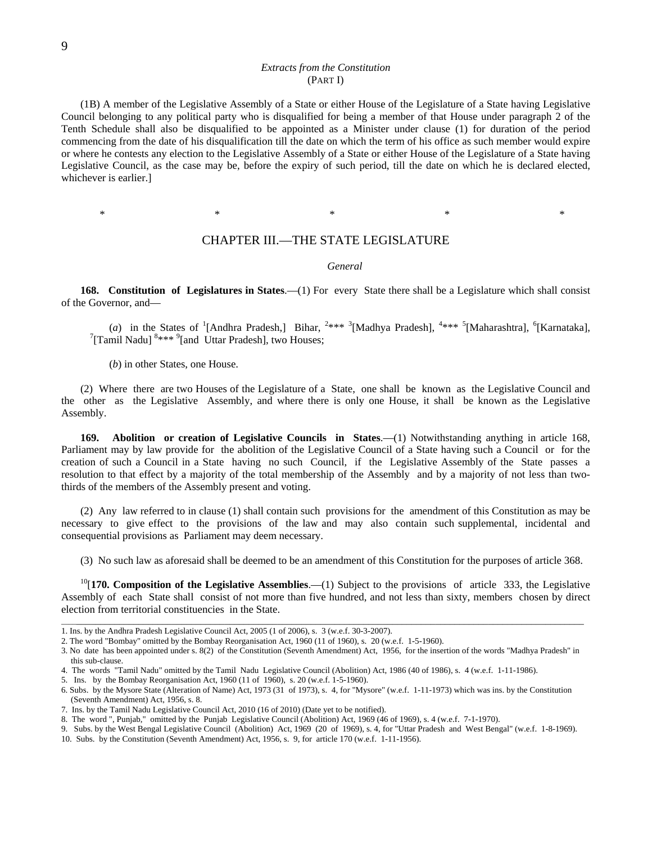(1B) A member of the Legislative Assembly of a State or either House of the Legislature of a State having Legislative Council belonging to any political party who is disqualified for being a member of that House under paragraph 2 of the Tenth Schedule shall also be disqualified to be appointed as a Minister under clause (1) for duration of the period commencing from the date of his disqualification till the date on which the term of his office as such member would expire or where he contests any election to the Legislative Assembly of a State or either House of the Legislature of a State having Legislative Council, as the case may be, before the expiry of such period, till the date on which he is declared elected, whichever is earlier.]

# CHAPTER III.—THE STATE LEGISLATURE

 $*$   $*$   $*$   $*$   $*$   $*$   $*$   $*$   $*$   $*$ 

#### *General*

**168. Constitution of Legislatures in States**.—(1) For every State there shall be a Legislature which shall consist of the Governor, and—

(*a*) in the States of <sup>1</sup>[Andhra Pradesh,] Bihar, <sup>2\*\*\*</sup> <sup>3</sup>[Madhya Pradesh], <sup>4\*\*\*</sup> <sup>5</sup>[Maharashtra], <sup>6</sup>[Karnataka], <sup>7</sup>[Tomil Nadul<sup>8\*\*\*</sup> <sup>9</sup>[ond Utter Pradesh], two Houses: [Tamil Nadu]<sup>8\*\*\* 9</sup>[and Uttar Pradesh], two Houses;

(*b*) in other States, one House.

(2) Where there are two Houses of the Legislature of a State, one shall be known as the Legislative Council and the other as the Legislative Assembly, and where there is only one House, it shall be known as the Legislative Assembly.

**169. Abolition or creation of Legislative Councils in States**.—(1) Notwithstanding anything in article 168, Parliament may by law provide for the abolition of the Legislative Council of a State having such a Council or for the creation of such a Council in a State having no such Council, if the Legislative Assembly of the State passes a resolution to that effect by a majority of the total membership of the Assembly and by a majority of not less than twothirds of the members of the Assembly present and voting.

(2) Any law referred to in clause (1) shall contain such provisions for the amendment of this Constitution as may be necessary to give effect to the provisions of the law and may also contain such supplemental, incidental and consequential provisions as Parliament may deem necessary.

(3) No such law as aforesaid shall be deemed to be an amendment of this Constitution for the purposes of article 368.

<sup>10</sup>[170. Composition of the Legislative Assemblies.—(1) Subject to the provisions of article 333, the Legislative Assembly of each State shall consist of not more than five hundred, and not less than sixty, members chosen by direct election from territorial constituencies in the State.

\_\_\_\_\_\_\_\_\_\_\_\_\_\_\_\_\_\_\_\_\_\_\_\_\_\_\_\_\_\_\_\_\_\_\_\_\_\_\_\_\_\_\_\_\_\_\_\_\_\_\_\_\_\_\_\_\_\_\_\_\_\_\_\_\_\_\_\_\_\_\_\_\_\_\_\_\_\_\_\_\_\_\_\_\_\_\_\_\_\_\_\_\_\_\_\_\_\_\_\_\_\_\_\_\_\_\_\_\_\_

5. Ins. by the Bombay Reorganisation Act, 1960 (11 of 1960), s. 20 (w.e.f. 1-5-1960).

<sup>1.</sup> Ins. by the Andhra Pradesh Legislative Council Act, 2005 (1 of 2006), s. 3 (w.e.f. 30-3-2007).

<sup>2.</sup> The word "Bombay" omitted by the Bombay Reorganisation Act, 1960 (11 of 1960), s. 20 (w.e.f. 1-5-1960).

<sup>3.</sup> No date has been appointed under s. 8(2) of the Constitution (Seventh Amendment) Act, 1956, for the insertion of the words "Madhya Pradesh" in this sub-clause.

<sup>4.</sup> The words "Tamil Nadu" omitted by the Tamil Nadu Legislative Council (Abolition) Act, 1986 (40 of 1986), s. 4 (w.e.f. 1-11-1986).

<sup>6.</sup> Subs. by the Mysore State (Alteration of Name) Act, 1973 (31 of 1973), s. 4, for "Mysore" (w.e.f. 1-11-1973) which was ins. by the Constitution (Seventh Amendment) Act, 1956, s. 8.

<sup>7.</sup> Ins. by the Tamil Nadu Legislative Council Act, 2010 (16 of 2010) (Date yet to be notified).

<sup>8.</sup> The word ", Punjab," omitted by the Punjab Legislative Council (Abolition) Act, 1969 (46 of 1969), s. 4 (w.e.f. 7-1-1970).

<sup>9.</sup> Subs. by the West Bengal Legislative Council (Abolition) Act, 1969 (20 of 1969), s. 4, for "Uttar Pradesh and West Bengal" (w.e.f. 1-8-1969).

<sup>10.</sup> Subs. by the Constitution (Seventh Amendment) Act, 1956, s. 9, for article 170 (w.e.f. 1-11-1956).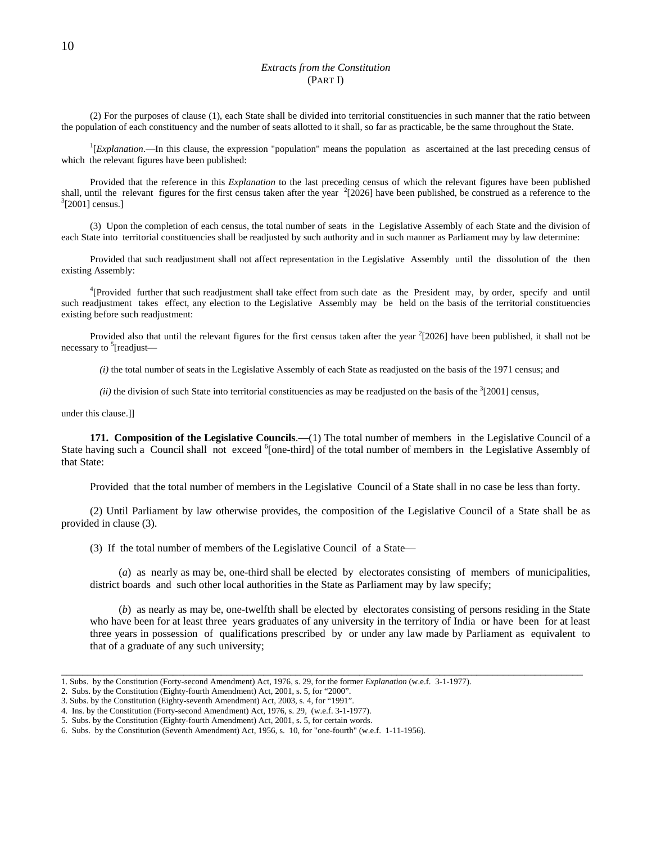(2) For the purposes of clause (1), each State shall be divided into territorial constituencies in such manner that the ratio between the population of each constituency and the number of seats allotted to it shall, so far as practicable, be the same throughout the State.

<sup>1</sup>[*Explanation*.—In this clause, the expression "population" means the population as ascertained at the last preceding census of which the relevant figures have been published:

Provided that the reference in this *Explanation* to the last preceding census of which the relevant figures have been published shall, until the relevant figures for the first census taken after the year  $^{2}[2026]$  have been published, be construed as a reference to the  $^{3}[2000]$  census l  $\frac{3}{2001}$  census.]

(3) Upon the completion of each census, the total number of seats in the Legislative Assembly of each State and the division of each State into territorial constituencies shall be readjusted by such authority and in such manner as Parliament may by law determine:

Provided that such readjustment shall not affect representation in the Legislative Assembly until the dissolution of the then existing Assembly:

<sup>4</sup>[Provided further that such readjustment shall take effect from such date as the President may, by order, specify and until such readjustment takes effect, any election to the Legislative Assembly may be held on the basis of the territorial constituencies existing before such readjustment:

Provided also that until the relevant figures for the first census taken after the year  $2$ [2026] have been published, it shall not be necessary to <sup>5</sup>[readjust—

*(i)* the total number of seats in the Legislative Assembly of each State as readjusted on the basis of the 1971 census; and

 $(iii)$  the division of such State into territorial constituencies as may be readjusted on the basis of the  $3$ [2001] census,

#### under this clause.]]

**171. Composition of the Legislative Councils**.—(1) The total number of members in the Legislative Council of a State having such a Council shall not exceed <sup>6</sup>[one-third] of the total number of members in the Legislative Assembly of that State:

Provided that the total number of members in the Legislative Council of a State shall in no case be less than forty.

(2) Until Parliament by law otherwise provides, the composition of the Legislative Council of a State shall be as provided in clause (3).

(3) If the total number of members of the Legislative Council of a State—

(*a*) as nearly as may be, one-third shall be elected by electorates consisting of members of municipalities, district boards and such other local authorities in the State as Parliament may by law specify;

(*b*) as nearly as may be, one-twelfth shall be elected by electorates consisting of persons residing in the State who have been for at least three years graduates of any university in the territory of India or have been for at least three years in possession of qualifications prescribed by or under any law made by Parliament as equivalent to that of a graduate of any such university;

 $\bot$  , and the contribution of the contribution of the contribution of the contribution of the contribution of  $\bot$ 

<sup>1.</sup> Subs. by the Constitution (Forty-second Amendment) Act, 1976, s. 29, for the former *Explanation* (w.e.f. 3-1-1977).

<sup>2.</sup> Subs. by the Constitution (Eighty-fourth Amendment) Act, 2001, s. 5, for "2000".

<sup>3.</sup> Subs. by the Constitution (Eighty-seventh Amendment) Act, 2003, s. 4, for "1991".

<sup>4.</sup> Ins. by the Constitution (Forty-second Amendment) Act, 1976, s. 29, (w.e.f. 3-1-1977).

<sup>5.</sup> Subs. by the Constitution (Eighty-fourth Amendment) Act, 2001, s. 5, for certain words.

<sup>6.</sup> Subs. by the Constitution (Seventh Amendment) Act, 1956, s. 10, for "one-fourth" (w.e.f. 1-11-1956).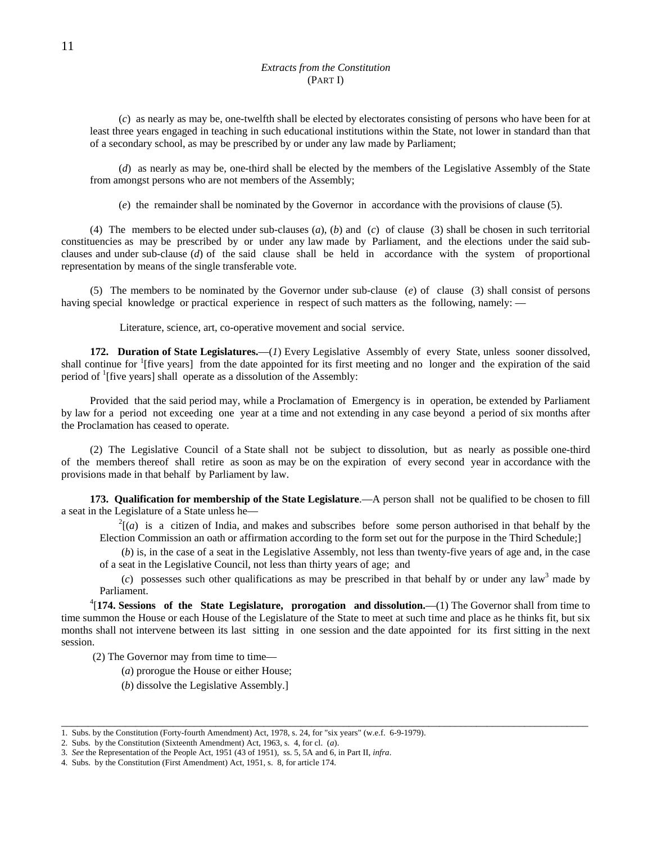(*c*) as nearly as may be, one-twelfth shall be elected by electorates consisting of persons who have been for at least three years engaged in teaching in such educational institutions within the State, not lower in standard than that of a secondary school, as may be prescribed by or under any law made by Parliament;

(*d*) as nearly as may be, one-third shall be elected by the members of the Legislative Assembly of the State from amongst persons who are not members of the Assembly;

(*e*) the remainder shall be nominated by the Governor in accordance with the provisions of clause (5).

(4) The members to be elected under sub-clauses (*a*), (*b*) and (*c*) of clause (3) shall be chosen in such territorial constituencies as may be prescribed by or under any law made by Parliament, and the elections under the said subclauses and under sub-clause (*d*) of the said clause shall be held in accordance with the system of proportional representation by means of the single transferable vote.

(5) The members to be nominated by the Governor under sub-clause (*e*) of clause (3) shall consist of persons having special knowledge or practical experience in respect of such matters as the following, namely:  $-$ 

Literature, science, art, co-operative movement and social service.

**172. Duration of State Legislatures.**—(*1*) Every Legislative Assembly of every State, unless sooner dissolved, shall continue for <sup>1</sup>[five years] from the date appointed for its first meeting and no longer and the expiration of the said period of <sup>1</sup>[five years] shall operate as a dissolution of the Assembly:

Provided that the said period may, while a Proclamation of Emergency is in operation, be extended by Parliament by law for a period not exceeding one year at a time and not extending in any case beyond a period of six months after the Proclamation has ceased to operate.

(2) The Legislative Council of a State shall not be subject to dissolution, but as nearly as possible one-third of the members thereof shall retire as soon as may be on the expiration of every second year in accordance with the provisions made in that behalf by Parliament by law.

**173. Qualification for membership of the State Legislature**.—A person shall not be qualified to be chosen to fill a seat in the Legislature of a State unless he— 2

 $^{2}[(a)$  is a citizen of India, and makes and subscribes before some person authorised in that behalf by the Election Commission an oath or affirmation according to the form set out for the purpose in the Third Schedule;]

 (*b*) is, in the case of a seat in the Legislative Assembly, not less than twenty-five years of age and, in the case of a seat in the Legislative Council, not less than thirty years of age; and

 $(c)$  possesses such other qualifications as may be prescribed in that behalf by or under any law<sup>3</sup> made by Parliament. 4

[**174. Sessions of the State Legislature, prorogation and dissolution.**—(1) The Governor shall from time to time summon the House or each House of the Legislature of the State to meet at such time and place as he thinks fit, but six months shall not intervene between its last sitting in one session and the date appointed for its first sitting in the next session.

\_\_\_\_\_\_\_\_\_\_\_\_\_\_\_\_\_\_\_\_\_\_\_\_\_\_\_\_\_\_\_\_\_\_\_\_\_\_\_\_\_\_\_\_\_\_\_\_\_\_\_\_\_\_\_\_\_\_\_\_\_\_\_\_\_\_\_\_\_\_\_\_\_\_\_\_\_\_\_\_\_\_\_\_\_\_\_\_\_\_\_\_\_\_\_\_\_\_\_

(2) The Governor may from time to time—

(*a*) prorogue the House or either House;

(*b*) dissolve the Legislative Assembly.]

<sup>1.</sup> Subs. by the Constitution (Forty-fourth Amendment) Act, 1978, s. 24, for "six years" (w.e.f. 6-9-1979).

<sup>2.</sup> Subs. by the Constitution (Sixteenth Amendment) Act, 1963, s. 4, for cl. (*a*).

<sup>3.</sup> *See* the Representation of the People Act, 1951 (43 of 1951), ss. 5, 5A and 6, in Part II, *infra*.

<sup>4.</sup> Subs. by the Constitution (First Amendment) Act, 1951, s. 8, for article 174.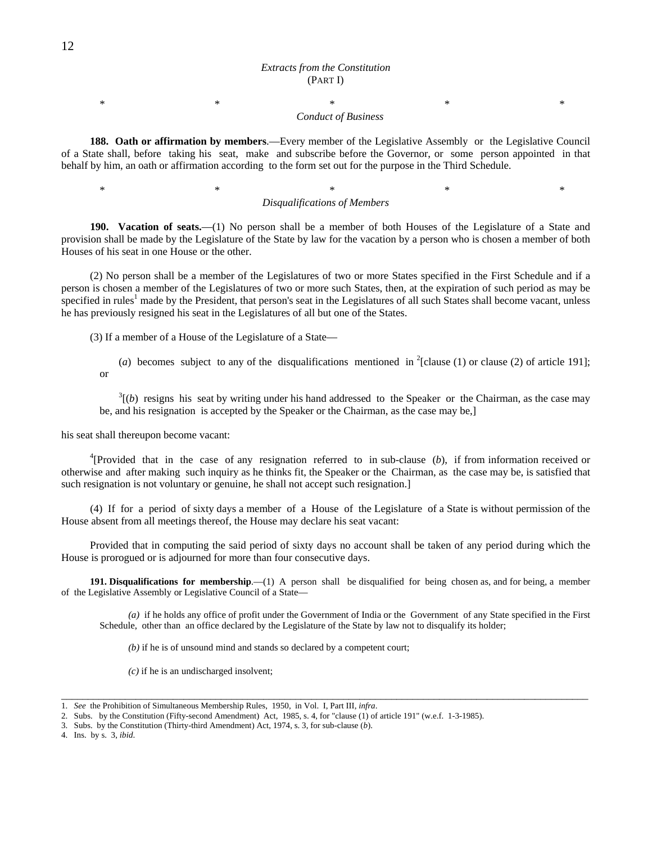#### $*$   $*$   $*$   $*$   $*$   $*$   $*$   $*$   $*$   $*$ *Conduct of Business*

**188. Oath or affirmation by members**.—Every member of the Legislative Assembly or the Legislative Council of a State shall, before taking his seat, make and subscribe before the Governor, or some person appointed in that behalf by him, an oath or affirmation according to the form set out for the purpose in the Third Schedule.

 $*$   $*$   $*$   $*$   $*$   $*$   $*$   $*$   $*$   $*$ 

#### *Disqualifications of Members*

**190. Vacation of seats.**—(1) No person shall be a member of both Houses of the Legislature of a State and provision shall be made by the Legislature of the State by law for the vacation by a person who is chosen a member of both Houses of his seat in one House or the other.

(2) No person shall be a member of the Legislatures of two or more States specified in the First Schedule and if a person is chosen a member of the Legislatures of two or more such States, then, at the expiration of such period as may be specified in rules<sup>1</sup> made by the President, that person's seat in the Legislatures of all such States shall become vacant, unless he has previously resigned his seat in the Legislatures of all but one of the States.

(3) If a member of a House of the Legislature of a State—

(*a*) becomes subject to any of the disqualifications mentioned in <sup>2</sup>[clause (1) or clause (2) of article 191]; or

 $3(1)(b)$  resigns his seat by writing under his hand addressed to the Speaker or the Chairman, as the case may be, and his resignation is accepted by the Speaker or the Chairman, as the case may be,]

his seat shall thereupon become vacant:

<sup>4</sup>[Provided that in the case of any resignation referred to in sub-clause  $(b)$ , if from information received or otherwise and after making such inquiry as he thinks fit, the Speaker or the Chairman, as the case may be, is satisfied that such resignation is not voluntary or genuine, he shall not accept such resignation.]

(4) If for a period of sixty days a member of a House of the Legislature of a State is without permission of the House absent from all meetings thereof, the House may declare his seat vacant:

Provided that in computing the said period of sixty days no account shall be taken of any period during which the House is prorogued or is adjourned for more than four consecutive days.

**191. Disqualifications for membership.**—(1) A person shall be disqualified for being chosen as, and for being, a member of the Legislative Assembly or Legislative Council of a State—

\_\_\_\_\_\_\_\_\_\_\_\_\_\_\_\_\_\_\_\_\_\_\_\_\_\_\_\_\_\_\_\_\_\_\_\_\_\_\_\_\_\_\_\_\_\_\_\_\_\_\_\_\_\_\_\_\_\_\_\_\_\_\_\_\_\_\_\_\_\_\_\_\_\_\_\_\_\_\_\_\_\_\_\_\_\_\_\_\_\_\_\_\_\_\_\_\_\_\_

*(a)* if he holds any office of profit under the Government of India or the Government of any State specified in the First Schedule, other than an office declared by the Legislature of the State by law not to disqualify its holder;

*(b)* if he is of unsound mind and stands so declared by a competent court;

*(c)* if he is an undischarged insolvent;

<sup>1.</sup> *See* the Prohibition of Simultaneous Membership Rules, 1950, in Vol. I, Part III, *infra*.

<sup>2.</sup> Subs. by the Constitution (Fifty-second Amendment) Act, 1985, s. 4, for "clause (1) of article 191" (w.e.f. 1-3-1985).

<sup>3.</sup> Subs. by the Constitution (Thirty-third Amendment) Act, 1974, s. 3, for sub-clause (*b*).

<sup>4.</sup> Ins. by s. 3, *ibid*.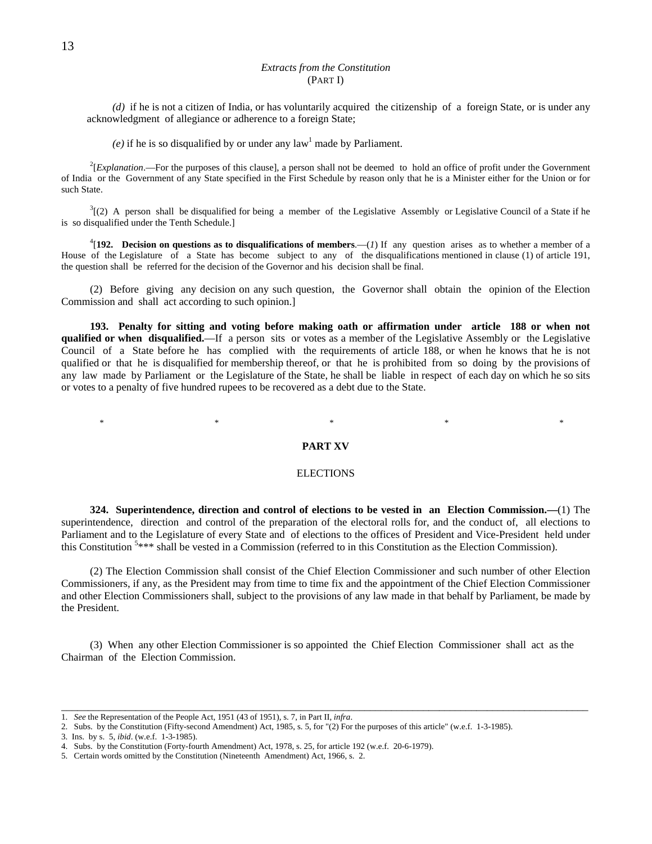*(d)* if he is not a citizen of India, or has voluntarily acquired the citizenship of a foreign State, or is under any acknowledgment of allegiance or adherence to a foreign State;

 $(e)$  if he is so disqualified by or under any law<sup>1</sup> made by Parliament.

<sup>2</sup>[*Explanation*.—For the purposes of this clause], a person shall not be deemed to hold an office of profit under the Government of India or the Government of any State specified in the First Schedule by reason only that he is a Minister either for the Union or for such State.

 $3(2)$  A person shall be disqualified for being a member of the Legislative Assembly or Legislative Council of a State if he is so disqualified under the Tenth Schedule.]

 $^{4}$ [192. Decision on questions as to disqualifications of members.—(*I*) If any question arises as to whether a member of a House of the Legislature of a State has become subject to any of the disqualifications mentioned in clause (1) of article 191, the question shall be referred for the decision of the Governor and his decision shall be final.

(2) Before giving any decision on any such question, the Governor shall obtain the opinion of the Election Commission and shall act according to such opinion.]

**193. Penalty for sitting and voting before making oath or affirmation under article 188 or when not qualified or when disqualified.**—If a person sits or votes as a member of the Legislative Assembly or the Legislative Council of a State before he has complied with the requirements of article 188, or when he knows that he is not qualified or that he is disqualified for membership thereof, or that he is prohibited from so doing by the provisions of any law made by Parliament or the Legislature of the State, he shall be liable in respect of each day on which he so sits or votes to a penalty of five hundred rupees to be recovered as a debt due to the State.

# **PART XV**

\* \* \* \* \*

#### **ELECTIONS**

**324. Superintendence, direction and control of elections to be vested in an Election Commission.—**(1) The superintendence, direction and control of the preparation of the electoral rolls for, and the conduct of, all elections to Parliament and to the Legislature of every State and of elections to the offices of President and Vice-President held under this Constitution<sup>5\*\*\*</sup> shall be vested in a Commission (referred to in this Constitution as the Election Commission).

(2) The Election Commission shall consist of the Chief Election Commissioner and such number of other Election Commissioners, if any, as the President may from time to time fix and the appointment of the Chief Election Commissioner and other Election Commissioners shall, subject to the provisions of any law made in that behalf by Parliament, be made by the President.

(3) When any other Election Commissioner is so appointed the Chief Election Commissioner shall act as the Chairman of the Election Commission.

<sup>1.</sup> *See* the Representation of the People Act, 1951 (43 of 1951), s. 7, in Part II, *infra*.

<sup>2.</sup> Subs. by the Constitution (Fifty-second Amendment) Act, 1985, s. 5, for "(2) For the purposes of this article" (w.e.f. 1-3-1985).

<sup>3.</sup> Ins. by s. 5, *ibid*. (w.e.f. 1-3-1985).

<sup>4.</sup> Subs. by the Constitution (Forty-fourth Amendment) Act, 1978, s. 25, for article 192 (w.e.f. 20-6-1979).

<sup>5.</sup> Certain words omitted by the Constitution (Nineteenth Amendment) Act, 1966, s. 2.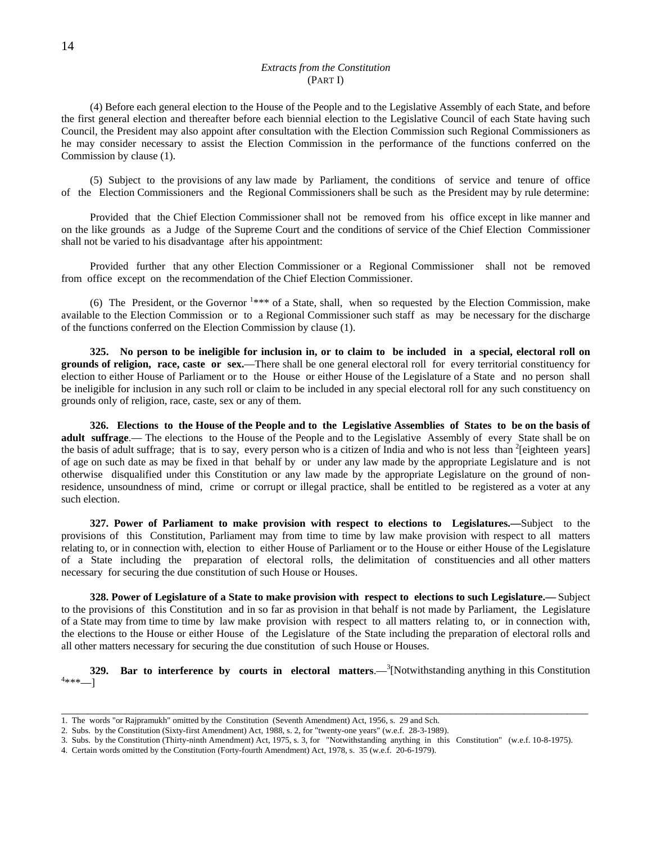(4) Before each general election to the House of the People and to the Legislative Assembly of each State, and before the first general election and thereafter before each biennial election to the Legislative Council of each State having such Council, the President may also appoint after consultation with the Election Commission such Regional Commissioners as he may consider necessary to assist the Election Commission in the performance of the functions conferred on the Commission by clause (1).

(5) Subject to the provisions of any law made by Parliament, the conditions of service and tenure of office of the Election Commissioners and the Regional Commissioners shall be such as the President may by rule determine:

Provided that the Chief Election Commissioner shall not be removed from his office except in like manner and on the like grounds as a Judge of the Supreme Court and the conditions of service of the Chief Election Commissioner shall not be varied to his disadvantage after his appointment:

Provided further that any other Election Commissioner or a Regional Commissioner shall not be removed from office except on the recommendation of the Chief Election Commissioner.

(6) The President, or the Governor  $1***$  of a State, shall, when so requested by the Election Commission, make available to the Election Commission or to a Regional Commissioner such staff as may be necessary for the discharge of the functions conferred on the Election Commission by clause (1).

**325. No person to be ineligible for inclusion in, or to claim to be included in a special, electoral roll on grounds of religion, race, caste or sex.**—There shall be one general electoral roll for every territorial constituency for election to either House of Parliament or to the House or either House of the Legislature of a State and no person shall be ineligible for inclusion in any such roll or claim to be included in any special electoral roll for any such constituency on grounds only of religion, race, caste, sex or any of them.

**326. Elections to the House of the People and to the Legislative Assemblies of States to be on the basis of adult suffrage**.— The elections to the House of the People and to the Legislative Assembly of every State shall be on the basis of adult suffrage; that is to say, every person who is a citizen of India and who is not less than <sup>2</sup>[eighteen years] of age on such date as may be fixed in that behalf by or under any law made by the appropriate Legislature and is not otherwise disqualified under this Constitution or any law made by the appropriate Legislature on the ground of nonresidence, unsoundness of mind, crime or corrupt or illegal practice, shall be entitled to be registered as a voter at any such election.

**327. Power of Parliament to make provision with respect to elections to Legislatures.—**Subject to the provisions of this Constitution, Parliament may from time to time by law make provision with respect to all matters relating to, or in connection with, election to either House of Parliament or to the House or either House of the Legislature of a State including the preparation of electoral rolls, the delimitation of constituencies and all other matters necessary for securing the due constitution of such House or Houses.

**328. Power of Legislature of a State to make provision with respect to elections to such Legislature.—** Subject to the provisions of this Constitution and in so far as provision in that behalf is not made by Parliament, the Legislature of a State may from time to time by law make provision with respect to all matters relating to, or in connection with, the elections to the House or either House of the Legislature of the State including the preparation of electoral rolls and all other matters necessary for securing the due constitution of such House or Houses.

**329. Bar to interference by courts in electoral matters.**— ${}^{3}$ [Notwithstanding anything in this Constitution  ${}^{4}$ <sub>\*\*\*</sub> 1  $4***-$ ]

<sup>1.</sup> The words "or Rajpramukh" omitted by the Constitution (Seventh Amendment) Act, 1956, s. 29 and Sch.

<sup>2.</sup> Subs. by the Constitution (Sixty-first Amendment) Act, 1988, s. 2, for "twenty-one years" (w.e.f. 28-3-1989).

<sup>3.</sup> Subs. by the Constitution (Thirty-ninth Amendment) Act, 1975, s. 3, for "Notwithstanding anything in this Constitution" (w.e.f. 10-8-1975).

<sup>4.</sup> Certain words omitted by the Constitution (Forty-fourth Amendment) Act, 1978, s. 35 (w.e.f. 20-6-1979).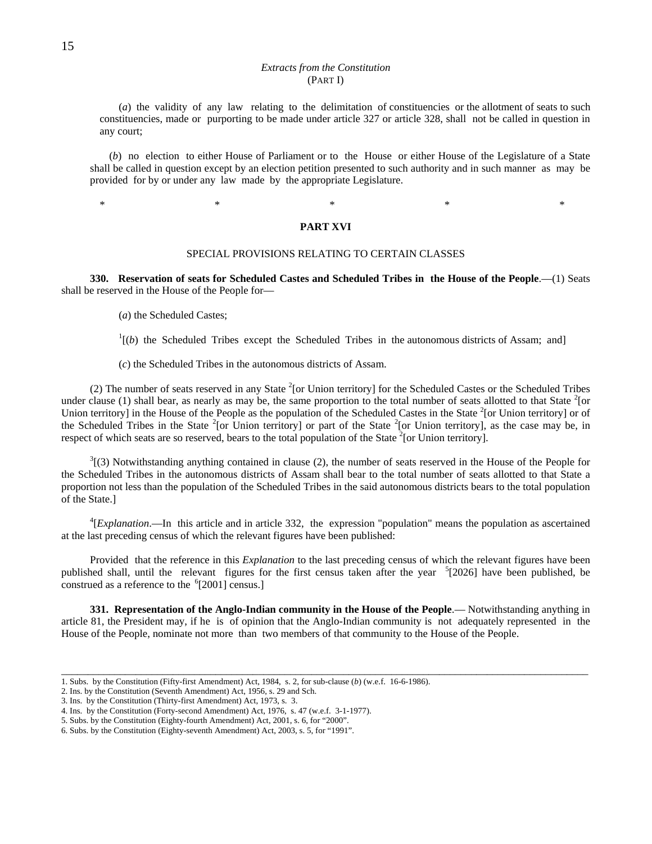(*a*) the validity of any law relating to the delimitation of constituencies or the allotment of seats to such constituencies, made or purporting to be made under article 327 or article 328, shall not be called in question in any court;

(*b*) no election to either House of Parliament or to the House or either House of the Legislature of a State shall be called in question except by an election petition presented to such authority and in such manner as may be provided for by or under any law made by the appropriate Legislature.

 $*$   $*$   $*$   $*$   $*$   $*$   $*$   $*$   $*$ 

#### **PART XVI**

# SPECIAL PROVISIONS RELATING TO CERTAIN CLASSES

**330. Reservation of seats for Scheduled Castes and Scheduled Tribes in the House of the People**.—(1) Seats shall be reserved in the House of the People for—

- (*a*) the Scheduled Castes;
- $\frac{1}{1}(b)$  the Scheduled Tribes except the Scheduled Tribes in the autonomous districts of Assam; and]
- (*c*) the Scheduled Tribes in the autonomous districts of Assam.

(2) The number of seats reserved in any State  $2$ [or Union territory] for the Scheduled Castes or the Scheduled Tribes under clause (1) shall bear, as nearly as may be, the same proportion to the total number of seats allotted to that State  $2$ [or Union territory] in the House of the People as the population of the Scheduled Castes in the State <sup>2</sup>[or Union territory] or of the Scheduled Tribes in the State  $2$ [or Union territory] or part of the State  $2$ [or Union territory], as the case may be, in respect of which seats are so reserved, bears to the total population of the State  $2$ [or Union territory].

 $3(3)$  Notwithstanding anything contained in clause (2), the number of seats reserved in the House of the People for the Scheduled Tribes in the autonomous districts of Assam shall bear to the total number of seats allotted to that State a proportion not less than the population of the Scheduled Tribes in the said autonomous districts bears to the total population of the State.]

 ${}^{4}$ [*Explanation*.—In this article and in article 332, the expression "population" means the population as ascertained at the last preceding census of which the relevant figures have been published:

Provided that the reference in this *Explanation* to the last preceding census of which the relevant figures have been published shall, until the relevant figures for the first census taken after the year <sup>5</sup>[2026] have been published, be construed as a reference to the  $^{6}$ [2001] census.]

**331. Representation of the Anglo-Indian community in the House of the People**.— Notwithstanding anything in article 81, the President may, if he is of opinion that the Anglo-Indian community is not adequately represented in the House of the People, nominate not more than two members of that community to the House of the People.

<sup>1.</sup> Subs. by the Constitution (Fifty-first Amendment) Act, 1984, s. 2, for sub-clause (*b*) (w.e.f. 16-6-1986).

<sup>2.</sup> Ins. by the Constitution (Seventh Amendment) Act, 1956, s. 29 and Sch.

<sup>3.</sup> Ins. by the Constitution (Thirty-first Amendment) Act, 1973, s. 3.

<sup>4.</sup> Ins. by the Constitution (Forty-second Amendment) Act, 1976, s. 47 (w.e.f. 3-1-1977).

<sup>5.</sup> Subs. by the Constitution (Eighty-fourth Amendment) Act, 2001, s. 6, for "2000".

<sup>6.</sup> Subs. by the Constitution (Eighty-seventh Amendment) Act, 2003, s. 5, for "1991".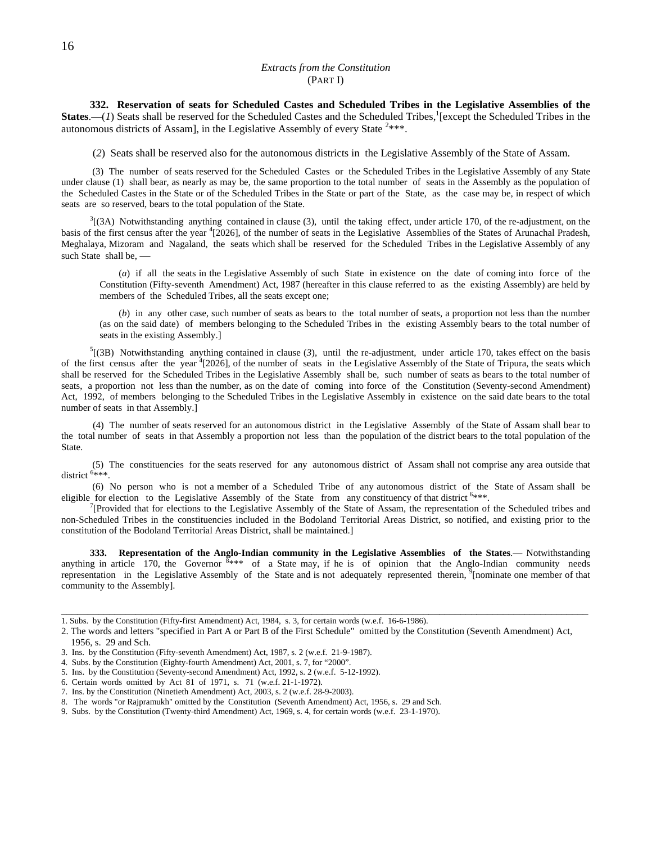**332. Reservation of seats for Scheduled Castes and Scheduled Tribes in the Legislative Assemblies of the States.**—( $I$ ) Seats shall be reserved for the Scheduled Castes and the Scheduled Tribes,<sup>1</sup>[except the Scheduled Tribes in the autonomous districts of Assam], in the Legislative Assembly of every State  $2***$ .

(*2*) Seats shall be reserved also for the autonomous districts in the Legislative Assembly of the State of Assam.

 (3) The number of seats reserved for the Scheduled Castes or the Scheduled Tribes in the Legislative Assembly of any State under clause (1) shall bear, as nearly as may be, the same proportion to the total number of seats in the Assembly as the population of the Scheduled Castes in the State or of the Scheduled Tribes in the State or part of the State, as the case may be, in respect of which seats are so reserved, bears to the total population of the State.

 ${}^{3}$ [(3A) Notwithstanding anything contained in clause (3), until the taking effect, under article 170, of the re-adjustment, on the basis of the first census after the year <sup>4</sup>[2026], of the number of seats in the Legislative Assemblies of the States of Arunachal Pradesh, Meghalaya, Mizoram and Nagaland, the seats which shall be reserved for the Scheduled Tribes in the Legislative Assembly of any such State shall be, —

(*a*) if all the seats in the Legislative Assembly of such State in existence on the date of coming into force of the Constitution (Fifty-seventh Amendment) Act, 1987 (hereafter in this clause referred to as the existing Assembly) are held by members of the Scheduled Tribes, all the seats except one;

(*b*) in any other case, such number of seats as bears to the total number of seats, a proportion not less than the number (as on the said date) of members belonging to the Scheduled Tribes in the existing Assembly bears to the total number of seats in the existing Assembly.]

 ${}^{5}$ [(3B) Notwithstanding anything contained in clause (3), until the re-adjustment, under article 170, takes effect on the basis of the first census after the year  $\frac{4}{2026}$ , of the number of seats in the Legislative Assembly of the State of Tripura, the seats which shall be reserved for the Scheduled Tribes in the Legislative Assembly shall be, such number of seats as bears to the total number of seats, a proportion not less than the number, as on the date of coming into force of the Constitution (Seventy-second Amendment) Act, 1992, of members belonging to the Scheduled Tribes in the Legislative Assembly in existence on the said date bears to the total number of seats in that Assembly.]

(4) The number of seats reserved for an autonomous district in the Legislative Assembly of the State of Assam shall bear to the total number of seats in that Assembly a proportion not less than the population of the district bears to the total population of the State.

 (5) The constituencies for the seats reserved for any autonomous district of Assam shall not comprise any area outside that district <sup>6</sup>\*\*\*.

 (6) No person who is not a member of a Scheduled Tribe of any autonomous district of the State of Assam shall be eligible for election to the Legislative Assembly of the State from any constituency of that district  $6***$ .

 $\int$ [Provided that for elections to the Legislative Assembly of the State of Assam, the representation of the Scheduled tribes and non-Scheduled Tribes in the constituencies included in the Bodoland Territorial Areas District, so notified, and existing prior to the constitution of the Bodoland Territorial Areas District, shall be maintained.]

**333. Representation of the Anglo-Indian community in the Legislative Assemblies of the States**.— Notwithstanding anything in article 170, the Governor  $8***$  of a State may, if he is of opinion that the Anglo-Indian community needs representation in the Legislative Assembly of the State and is not adequately represented therein, <sup>9</sup>[nominate one member of that community to the Assembly].

<sup>1.</sup> Subs. by the Constitution (Fifty-first Amendment) Act, 1984, s. 3, for certain words (w.e.f. 16-6-1986).

<sup>2.</sup> The words and letters "specified in Part A or Part B of the First Schedule" omitted by the Constitution (Seventh Amendment) Act, 1956, s. 29 and Sch.

<sup>3.</sup> Ins. by the Constitution (Fifty-seventh Amendment) Act, 1987, s. 2 (w.e.f. 21-9-1987).

<sup>4.</sup> Subs. by the Constitution (Eighty-fourth Amendment) Act, 2001, s. 7, for "2000".

<sup>5.</sup> Ins. by the Constitution (Seventy-second Amendment) Act, 1992, s. 2 (w.e.f. 5-12-1992).

<sup>6.</sup> Certain words omitted by Act 81 of 1971, s. 71 (w.e.f. 21-1-1972).

<sup>7.</sup> Ins. by the Constitution (Ninetieth Amendment) Act, 2003, s. 2 (w.e.f. 28-9-2003).

<sup>8.</sup> The words "or Rajpramukh" omitted by the Constitution (Seventh Amendment) Act, 1956, s. 29 and Sch.

<sup>9.</sup> Subs. by the Constitution (Twenty-third Amendment) Act, 1969, s. 4, for certain words (w.e.f. 23-1-1970).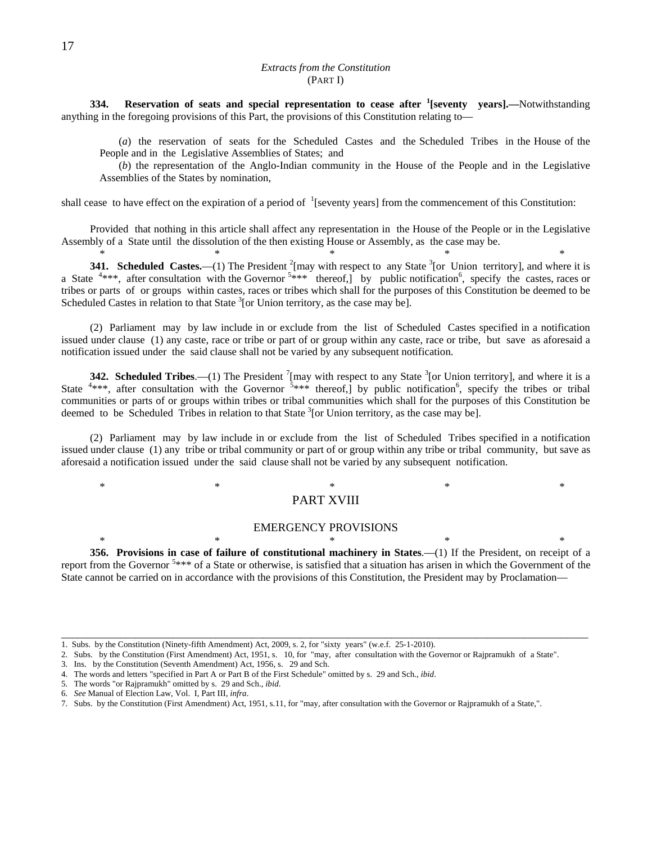**334. Reservation of seats and special representation to cease after <sup>1</sup> [seventy years].—**Notwithstanding anything in the foregoing provisions of this Part, the provisions of this Constitution relating to—

(*a*) the reservation of seats for the Scheduled Castes and the Scheduled Tribes in the House of the People and in the Legislative Assemblies of States; and

(*b*) the representation of the Anglo-Indian community in the House of the People and in the Legislative Assemblies of the States by nomination,

shall cease to have effect on the expiration of a period of  $\frac{1}{2}$ [seventy years] from the commencement of this Constitution:

Provided that nothing in this article shall affect any representation in the House of the People or in the Legislative Assembly of a State until the dissolution of the then existing House or Assembly, as the case may be.

 $*$   $*$   $*$   $*$   $*$   $*$   $*$   $*$   $*$   $*$ **341. Scheduled Castes.** (1) The President  $2$ [may with respect to any State  $3$ [or Union territory], and where it is a State  $4***$ , after consultation with the Governor  $5***$  thereof, by public notification<sup>6</sup>, specify the castes, races or tribes or parts of or groups within castes, races or tribes which shall for the purposes of this Constitution be deemed to be Scheduled Castes in relation to that State <sup>3</sup>[or Union territory, as the case may be].

(2) Parliament may by law include in or exclude from the list of Scheduled Castes specified in a notification issued under clause (1) any caste, race or tribe or part of or group within any caste, race or tribe, but save as aforesaid a notification issued under the said clause shall not be varied by any subsequent notification.

**342. Scheduled Tribes.**—(1) The President  $\binom{7}{1}$  may with respect to any State  $\binom{3}{1}$  or Union territory], and where it is a State <sup>4\*\*\*</sup>, after consultation with the Governor  $\frac{5***}{}$  thereof, by public notification<sup>6</sup>, specify the tribes or tribal communities or parts of or groups within tribes or tribal communities which shall for the purposes of this Constitution be deemed to be Scheduled Tribes in relation to that State <sup>3</sup>[or Union territory, as the case may be].

(2) Parliament may by law include in or exclude from the list of Scheduled Tribes specified in a notification issued under clause (1) any tribe or tribal community or part of or group within any tribe or tribal community, but save as aforesaid a notification issued under the said clause shall not be varied by any subsequent notification.

# $*$   $*$   $*$   $*$   $*$   $*$   $*$   $*$   $*$ PART XVIII

# EMERGENCY PROVISIONS

 $*$   $*$   $*$   $*$   $*$   $*$   $*$   $*$   $*$ **356. Provisions in case of failure of constitutional machinery in States**.—(1) If the President, on receipt of a report from the Governor<sup>5\*\*\*</sup> of a State or otherwise, is satisfied that a situation has arisen in which the Government of the State cannot be carried on in accordance with the provisions of this Constitution, the President may by Proclamation—

<sup>1.</sup> Subs. by the Constitution (Ninety-fifth Amendment) Act, 2009, s. 2, for "sixty years" (w.e.f. 25-1-2010).

<sup>2.</sup> Subs. by the Constitution (First Amendment) Act, 1951, s. 10, for "may, after consultation with the Governor or Rajpramukh of a State".

<sup>3.</sup> Ins. by the Constitution (Seventh Amendment) Act, 1956, s. 29 and Sch.

<sup>4.</sup> The words and letters "specified in Part A or Part B of the First Schedule" omitted by s. 29 and Sch., *ibid*.

<sup>5.</sup> The words "or Rajpramukh" omitted by s. 29 and Sch., *ibid*.

<sup>6.</sup> *See* Manual of Election Law, Vol. I, Part III, *infra*.

<sup>7.</sup> Subs. by the Constitution (First Amendment) Act, 1951, s.11, for "may, after consultation with the Governor or Rajpramukh of a State,".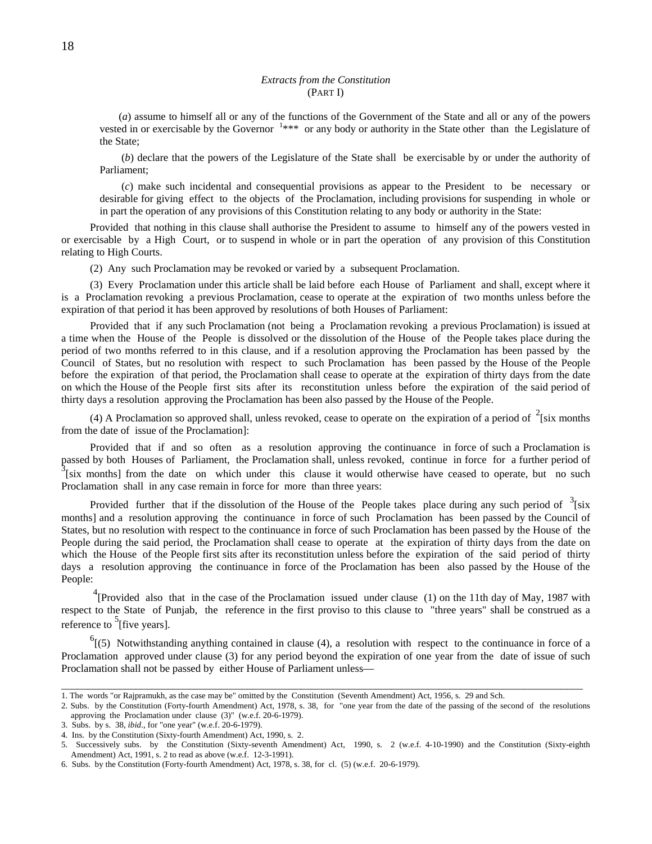(*a*) assume to himself all or any of the functions of the Government of the State and all or any of the powers vested in or exercisable by the Governor  $1***$  or any body or authority in the State other than the Legislature of the State;

 (*b*) declare that the powers of the Legislature of the State shall be exercisable by or under the authority of Parliament;

 (*c*) make such incidental and consequential provisions as appear to the President to be necessary or desirable for giving effect to the objects of the Proclamation, including provisions for suspending in whole or in part the operation of any provisions of this Constitution relating to any body or authority in the State:

Provided that nothing in this clause shall authorise the President to assume to himself any of the powers vested in or exercisable by a High Court, or to suspend in whole or in part the operation of any provision of this Constitution relating to High Courts.

(2) Any such Proclamation may be revoked or varied by a subsequent Proclamation.

(3) Every Proclamation under this article shall be laid before each House of Parliament and shall, except where it is a Proclamation revoking a previous Proclamation, cease to operate at the expiration of two months unless before the expiration of that period it has been approved by resolutions of both Houses of Parliament:

Provided that if any such Proclamation (not being a Proclamation revoking a previous Proclamation) is issued at a time when the House of the People is dissolved or the dissolution of the House of the People takes place during the period of two months referred to in this clause, and if a resolution approving the Proclamation has been passed by the Council of States, but no resolution with respect to such Proclamation has been passed by the House of the People before the expiration of that period, the Proclamation shall cease to operate at the expiration of thirty days from the date on which the House of the People first sits after its reconstitution unless before the expiration of the said period of thirty days a resolution approving the Proclamation has been also passed by the House of the People.

(4) A Proclamation so approved shall, unless revoked, cease to operate on the expiration of a period of  $2$ [six months from the date of issue of the Proclamation]:

Provided that if and so often as a resolution approving the continuance in force of such a Proclamation is passed by both Houses of Parliament, the Proclamation shall, unless revoked, continue in force for a further period of  $\frac{3}{3}$ [six months] from the date on which under this clause it would otherwise have ceased to operate, but no such Proclamation shall in any case remain in force for more than three years:

Provided further that if the dissolution of the House of the People takes place during any such period of  $3$ [six months] and a resolution approving the continuance in force of such Proclamation has been passed by the Council of States, but no resolution with respect to the continuance in force of such Proclamation has been passed by the House of the People during the said period, the Proclamation shall cease to operate at the expiration of thirty days from the date on which the House of the People first sits after its reconstitution unless before the expiration of the said period of thirty days a resolution approving the continuance in force of the Proclamation has been also passed by the House of the People:

<sup>4</sup>[Provided also that in the case of the Proclamation issued under clause (1) on the 11th day of May, 1987 with respect to the State of Punjab, the reference in the first proviso to this clause to "three years" shall be construed as a reference to  $\frac{5}{3}$  [five years].

 $^{6}$ [(5) Notwithstanding anything contained in clause (4), a resolution with respect to the continuance in force of a Proclamation approved under clause (3) for any period beyond the expiration of one year from the date of issue of such Proclamation shall not be passed by either House of Parliament unless—

\_\_\_\_\_\_\_\_\_\_\_\_\_\_\_\_\_\_\_\_\_\_\_\_\_\_\_\_\_\_\_\_\_\_\_\_\_\_\_\_\_\_\_\_\_\_\_\_\_\_\_\_\_\_\_\_\_\_\_\_\_\_\_\_\_\_\_\_\_\_\_\_\_\_\_\_\_\_\_\_\_\_\_\_\_\_\_\_\_\_\_\_\_\_\_\_\_\_

3. Subs. by s. 38, *ibid*., for "one year" (w.e.f. 20-6-1979).

<sup>1.</sup> The words "or Rajpramukh, as the case may be" omitted by the Constitution (Seventh Amendment) Act, 1956, s. 29 and Sch.

<sup>2.</sup> Subs. by the Constitution (Forty-fourth Amendment) Act, 1978, s. 38, for "one year from the date of the passing of the second of the resolutions approving the Proclamation under clause (3)" (w.e.f. 20-6-1979).

<sup>4.</sup> Ins. by the Constitution (Sixty-fourth Amendment) Act, 1990, s. 2.

<sup>5.</sup> Successively subs. by the Constitution (Sixty-seventh Amendment) Act, 1990, s. 2 (w.e.f. 4-10-1990) and the Constitution (Sixty-eighth Amendment) Act, 1991, s. 2 to read as above (w.e.f. 12-3-1991).

<sup>6.</sup> Subs. by the Constitution (Forty-fourth Amendment) Act, 1978, s. 38, for cl. (5) (w.e.f. 20-6-1979).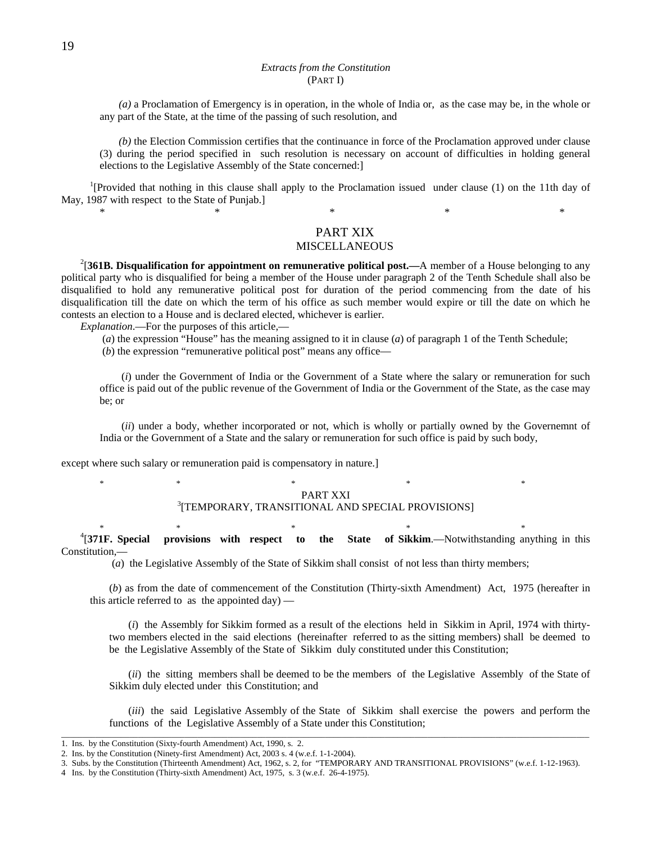*(a)* a Proclamation of Emergency is in operation, in the whole of India or, as the case may be, in the whole or any part of the State, at the time of the passing of such resolution, and

*(b)* the Election Commission certifies that the continuance in force of the Proclamation approved under clause (3) during the period specified in such resolution is necessary on account of difficulties in holding general elections to the Legislative Assembly of the State concerned:]

<sup>1</sup>[Provided that nothing in this clause shall apply to the Proclamation issued under clause (1) on the 11th day of May, 1987 with respect to the State of Punjab.]

 $*$   $*$   $*$   $*$   $*$   $*$   $*$   $*$   $*$   $*$ 

# PART XIX

# MISCELLANEOUS

2 [**361B. Disqualification for appointment on remunerative political post.—**A member of a House belonging to any political party who is disqualified for being a member of the House under paragraph 2 of the Tenth Schedule shall also be disqualified to hold any remunerative political post for duration of the period commencing from the date of his disqualification till the date on which the term of his office as such member would expire or till the date on which he contests an election to a House and is declared elected, whichever is earlier.

*Explanation*.—For the purposes of this article,—

(*a*) the expression "House" has the meaning assigned to it in clause (*a*) of paragraph 1 of the Tenth Schedule;

(*b*) the expression "remunerative political post" means any office—

 (*i*) under the Government of India or the Government of a State where the salary or remuneration for such office is paid out of the public revenue of the Government of India or the Government of the State, as the case may be; or

 (*ii*) under a body, whether incorporated or not, which is wholly or partially owned by the Governemnt of India or the Government of a State and the salary or remuneration for such office is paid by such body,

except where such salary or remuneration paid is compensatory in nature.]

# PART XXI<br>[TEMPORARY, TRANSITIONAL AND SPECIAL PROVISIONS<sup>]</sup>

\* \* \* \* \*

\* \* \* \* \* 4 [**371F. Special provisions with respect to the State of Sikkim**.—Notwithstanding anything in this Constitution,—

(*a*) the Legislative Assembly of the State of Sikkim shall consist of not less than thirty members;

(*b*) as from the date of commencement of the Constitution (Thirty-sixth Amendment) Act, 1975 (hereafter in this article referred to as the appointed day) —

(*i*) the Assembly for Sikkim formed as a result of the elections held in Sikkim in April, 1974 with thirtytwo members elected in the said elections (hereinafter referred to as the sitting members) shall be deemed to be the Legislative Assembly of the State of Sikkim duly constituted under this Constitution;

(*ii*) the sitting members shall be deemed to be the members of the Legislative Assembly of the State of Sikkim duly elected under this Constitution; and

(*iii*) the said Legislative Assembly of the State of Sikkim shall exercise the powers and perform the functions of the Legislative Assembly of a State under this Constitution;

<sup>1.</sup> Ins. by the Constitution (Sixty-fourth Amendment) Act, 1990, s. 2.

<sup>2.</sup> Ins. by the Constitution (Ninety-first Amendment) Act, 2003 s. 4 (w.e.f. 1-1-2004).

<sup>3.</sup> Subs. by the Constitution (Thirteenth Amendment) Act, 1962, s. 2, for "TEMPORARY AND TRANSITIONAL PROVISIONS" (w.e.f. 1-12-1963).

<sup>4</sup> Ins. by the Constitution (Thirty-sixth Amendment) Act, 1975, s. 3 (w.e.f. 26-4-1975).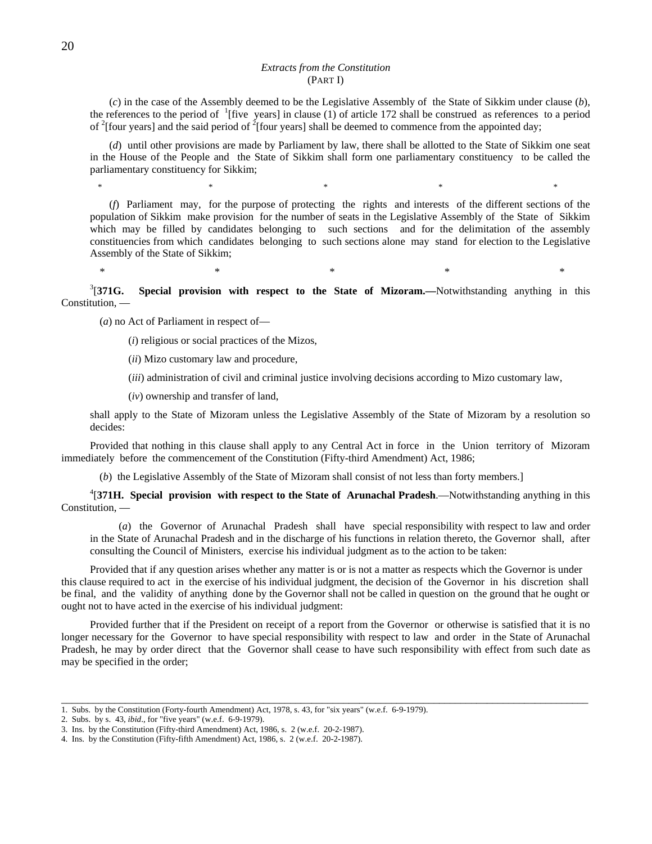(*c*) in the case of the Assembly deemed to be the Legislative Assembly of the State of Sikkim under clause (*b*), the references to the period of  $\frac{1}{2}$  [five years] in clause (1) of article 172 shall be construed as references to a period of  $^{2}$ [four years] and the said period of  $^{2}$ [four years] shall be deemed to commence from the appointed day;

(*d*) until other provisions are made by Parliament by law, there shall be allotted to the State of Sikkim one seat in the House of the People and the State of Sikkim shall form one parliamentary constituency to be called the parliamentary constituency for Sikkim;

\* \* \* \* \*

(*f*) Parliament may, for the purpose of protecting the rights and interests of the different sections of the population of Sikkim make provision for the number of seats in the Legislative Assembly of the State of Sikkim which may be filled by candidates belonging to such sections and for the delimitation of the assembly constituencies from which candidates belonging to such sections alone may stand for election to the Legislative Assembly of the State of Sikkim;

 $*$   $*$   $*$   $*$   $*$   $*$   $*$   $*$   $*$ 

 $3$ [371G. **Special provision with respect to the State of Mizoram.—Notwithstanding anything in this** Constitution, —

(*a*) no Act of Parliament in respect of—

(*i*) religious or social practices of the Mizos,

(*ii*) Mizo customary law and procedure,

(*iii*) administration of civil and criminal justice involving decisions according to Mizo customary law,

(*iv*) ownership and transfer of land,

shall apply to the State of Mizoram unless the Legislative Assembly of the State of Mizoram by a resolution so decides:

Provided that nothing in this clause shall apply to any Central Act in force in the Union territory of Mizoram immediately before the commencement of the Constitution (Fifty-third Amendment) Act, 1986;

(*b*) the Legislative Assembly of the State of Mizoram shall consist of not less than forty members.]

4 [**371H. Special provision with respect to the State of Arunachal Pradesh**.—Notwithstanding anything in this Constitution, —

(*a*) the Governor of Arunachal Pradesh shall have special responsibility with respect to law and order in the State of Arunachal Pradesh and in the discharge of his functions in relation thereto, the Governor shall, after consulting the Council of Ministers, exercise his individual judgment as to the action to be taken:

 Provided that if any question arises whether any matter is or is not a matter as respects which the Governor is under this clause required to act in the exercise of his individual judgment, the decision of the Governor in his discretion shall be final, and the validity of anything done by the Governor shall not be called in question on the ground that he ought or ought not to have acted in the exercise of his individual judgment:

Provided further that if the President on receipt of a report from the Governor or otherwise is satisfied that it is no longer necessary for the Governor to have special responsibility with respect to law and order in the State of Arunachal Pradesh, he may by order direct that the Governor shall cease to have such responsibility with effect from such date as may be specified in the order;

<sup>1.</sup> Subs. by the Constitution (Forty-fourth Amendment) Act, 1978, s. 43, for "six years" (w.e.f. 6-9-1979).

<sup>2.</sup> Subs. by s. 43*, ibid*., for "five years" (w.e.f. 6-9-1979).

<sup>3.</sup> Ins. by the Constitution (Fifty-third Amendment) Act, 1986, s. 2 (w.e.f. 20-2-1987).

<sup>4.</sup> Ins. by the Constitution (Fifty-fifth Amendment) Act, 1986, s. 2 (w.e.f. 20-2-1987).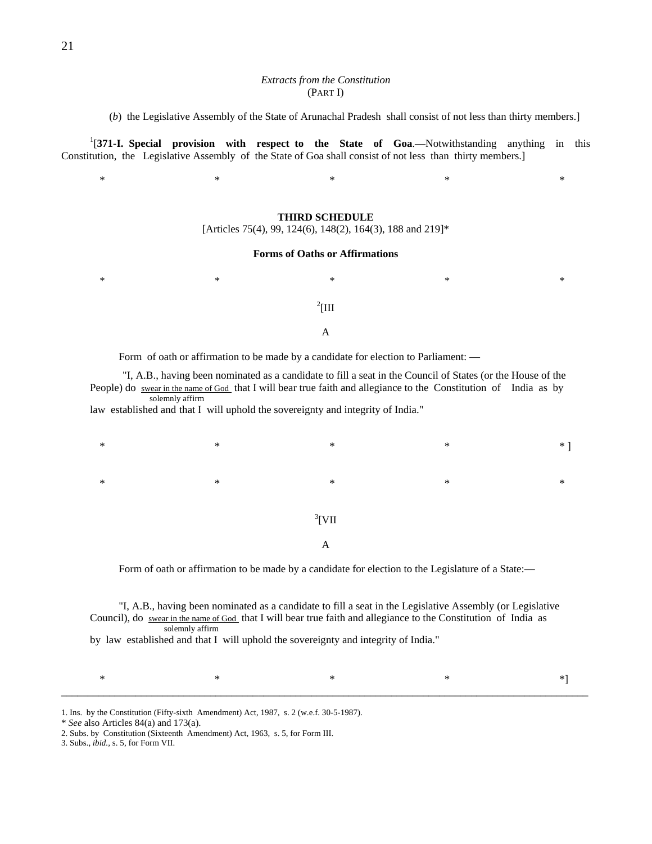(*b*) the Legislative Assembly of the State of Arunachal Pradesh shall consist of not less than thirty members.]

<sup>1</sup>[371-I. Special provision with respect to the State of Goa.—Notwithstanding anything in this Constitution, the Legislative Assembly of the State of Goa shall consist of not less than thirty members.]

**THIRD SCHEDULE** 

 $*$   $*$   $*$   $*$   $*$   $*$   $*$   $*$   $*$   $*$ 

[Articles 75(4), 99, 124(6), 148(2), 164(3), 188 and 219]\*

#### **Forms of Oaths or Affirmations**

 $*$   $*$   $*$   $*$   $*$   $*$   $*$   $*$   $*$  $^{2}$ [III]

A

Form of oath or affirmation to be made by a candidate for election to Parliament: —

 "I, A.B., having been nominated as a candidate to fill a seat in the Council of States (or the House of the People) do swear in the name of God that I will bear true faith and allegiance to the Constitution of India as by solemnly affirm

law established and that I will uphold the sovereignty and integrity of India."

| $\ast$ | $\ast$ | $\ast$        | $\ast$ | $*1$   |
|--------|--------|---------------|--------|--------|
| $\ast$ | $\ast$ | $\ast$        | $\ast$ | $\ast$ |
|        |        | $\rm ^3[VII]$ |        |        |
|        |        | A             |        |        |

Form of oath or affirmation to be made by a candidate for election to the Legislature of a State:—

"I, A.B., having been nominated as a candidate to fill a seat in the Legislative Assembly (or Legislative Council), do swear in the name of God that I will bear true faith and allegiance to the Constitution of India as solemnly affirm

by law established and that I will uphold the sovereignty and integrity of India."

\* \* \* \* \*] \_\_\_\_\_\_\_\_\_\_\_\_\_\_\_\_\_\_\_\_\_\_\_\_\_\_\_\_\_\_\_\_\_\_\_\_\_\_\_\_\_\_\_\_\_\_\_\_\_\_\_\_\_\_\_\_\_\_\_\_\_\_\_\_\_\_\_\_\_\_\_\_\_\_\_\_\_\_\_\_\_\_\_\_\_\_\_\_\_\_\_\_\_\_\_\_\_\_\_

3. Subs., *ibid.,* s. 5, for Form VII.

<sup>1.</sup> Ins. by the Constitution (Fifty-sixth Amendment) Act, 1987, s. 2 (w.e.f. 30-5-1987).

<sup>\*</sup> *See* also Articles 84(a) and 173(a).

<sup>2.</sup> Subs. by Constitution (Sixteenth Amendment) Act, 1963, s. 5, for Form III.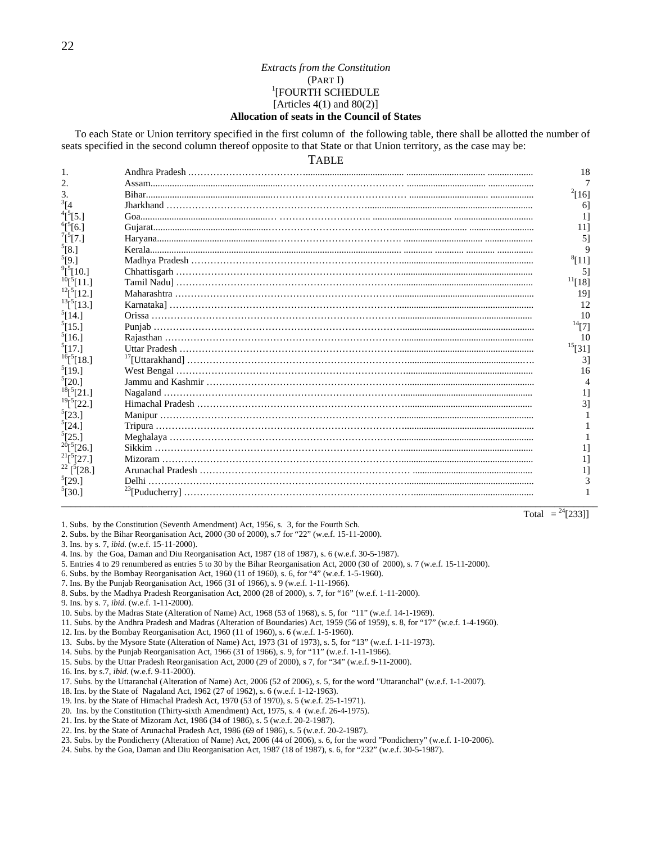# *Extracts from the Constitution*  (PART I)<br><sup>1</sup>[FOURTH SCHEDULE [Articles  $4(1)$  and  $80(2)$ ] **Allocation of seats in the Council of States**

 To each State or Union territory specified in the first column of the following table, there shall be allotted the number of seats specified in the second column thereof opposite to that State or that Union territory, as the case may be:

# TABLE

| 1.                             | 18           |
|--------------------------------|--------------|
| 2.                             |              |
| 3.                             | $^{2}[16]$   |
| $\frac{3}{4}$                  | 6            |
| $^{4}[^{5}[5.]$                | 1]           |
| $^{6}$ [6.]                    | 11]          |
| $^{7}[^{5}[7.]$                | 5]           |
| $^{5}[8.]$                     | 9            |
| $^{5}[9.]$                     | $^{8}$ [11]  |
| $^{9}$ [ <sup>5</sup> [10.]    | 5            |
| $^{10}$ [ <sup>5</sup> [11.]   | $^{11}[18]$  |
| $^{12}$ [ $^{5}$ [12.]         | 19]          |
| $^{13}$ [ <sup>5</sup> [13.]   | 12           |
| $^{5}[14.]$                    | 10           |
| $^{5}[15.]$                    | $^{14}[7]$   |
| $^{5}$ [16.]                   | 10           |
| $^{5}$ [17.]                   | $^{15}$ [31] |
| $^{16}$ [ <sup>5</sup> [18.]   | 31           |
| $^{5}[19.]$                    | 16           |
| $^{5}[20.]$                    | 4            |
| $^{18}$ [ <sup>5</sup> [21.]   | 1]           |
| $^{19}$ [ <sup>5</sup> [22.]   | 31           |
| $^{5}[23.]$                    |              |
| $^{5}[24.]$                    |              |
| $^{5}[25.]$                    |              |
| $^{20}$ [ <sup>5</sup> [26.]   | 1]           |
| $^{21}$ [ <sup>5</sup> [27.]   | 11           |
| $22^{22}$ [ <sup>5</sup> [28.] | 1]           |
| $^{5}[29.]$                    | 3            |
| $^{5}$ [30.]                   |              |
|                                |              |

Total  $=$  <sup>24</sup>[233]]

1. Subs. by the Constitution (Seventh Amendment) Act, 1956, s. 3, for the Fourth Sch.

2. Subs. by the Bihar Reorganisation Act, 2000 (30 of 2000), s.7 for "22" (w.e.f. 15-11-2000).

3. Ins. by s. 7, *ibid*. (w.e.f. 15-11-2000).

4. Ins. by the Goa, Daman and Diu Reorganisation Act, 1987 (18 of 1987), s. 6 (w.e.f. 30-5-1987).

5. Entries 4 to 29 renumbered as entries 5 to 30 by the Bihar Reorganisation Act, 2000 (30 of 2000), s. 7 (w.e.f. 15-11-2000).

6. Subs. by the Bombay Reorganisation Act, 1960 (11 of 1960), s. 6, for "4" (w.e.f. 1-5-1960).

7. Ins. By the Punjab Reorganisation Act, 1966 (31 of 1966), s. 9 (w.e.f. 1-11-1966).

8. Subs. by the Madhya Pradesh Reorganisation Act, 2000 (28 of 2000), s. 7, for "16" (w.e.f. 1-11-2000).

9. Ins. by s. 7, *ibid.* (w.e.f. 1-11-2000).

10. Subs. by the Madras State (Alteration of Name) Act, 1968 (53 of 1968), s. 5, for "11" (w.e.f. 14-1-1969).

11. Subs. by the Andhra Pradesh and Madras (Alteration of Boundaries) Act, 1959 (56 of 1959), s. 8, for "17" (w.e.f. 1-4-1960).

12. Ins. by the Bombay Reorganisation Act, 1960 (11 of 1960), s. 6 (w.e.f. 1-5-1960).

13. Subs. by the Mysore State (Alteration of Name) Act, 1973 (31 of 1973), s. 5, for "13" (w.e.f. 1-11-1973).

14. Subs. by the Punjab Reorganisation Act, 1966 (31 of 1966), s. 9, for "11" (w.e.f. 1-11-1966).

15. Subs. by the Uttar Pradesh Reorganisation Act, 2000 (29 of 2000), s 7, for "34" (w.e.f. 9-11-2000).

16. Ins. by s.7, *ibid*. (w.e.f. 9-11-2000).

17. Subs. by the Uttaranchal (Alteration of Name) Act, 2006 (52 of 2006), s. 5, for the word "Uttaranchal" (w.e.f. 1-1-2007).

18. Ins. by the State of Nagaland Act, 1962 (27 of 1962), s. 6 (w.e.f. 1-12-1963).

19. Ins. by the State of Himachal Pradesh Act, 1970 (53 of 1970), s. 5 (w.e.f. 25-1-1971).

20. Ins. by the Constitution (Thirty-sixth Amendment) Act, 1975, s. 4 (w.e.f. 26-4-1975).

21. Ins. by the State of Mizoram Act, 1986 (34 of 1986), s. 5 (w.e.f. 20-2-1987).

22. Ins. by the State of Arunachal Pradesh Act, 1986 (69 of 1986), s. 5 (w.e.f. 20-2-1987).

23. Subs. by the Pondicherry (Alteration of Name) Act, 2006 (44 of 2006), s. 6, for the word "Pondicherry" (w.e.f. 1-10-2006).

24. Subs. by the Goa, Daman and Diu Reorganisation Act, 1987 (18 of 1987), s. 6, for "232" (w.e.f. 30-5-1987).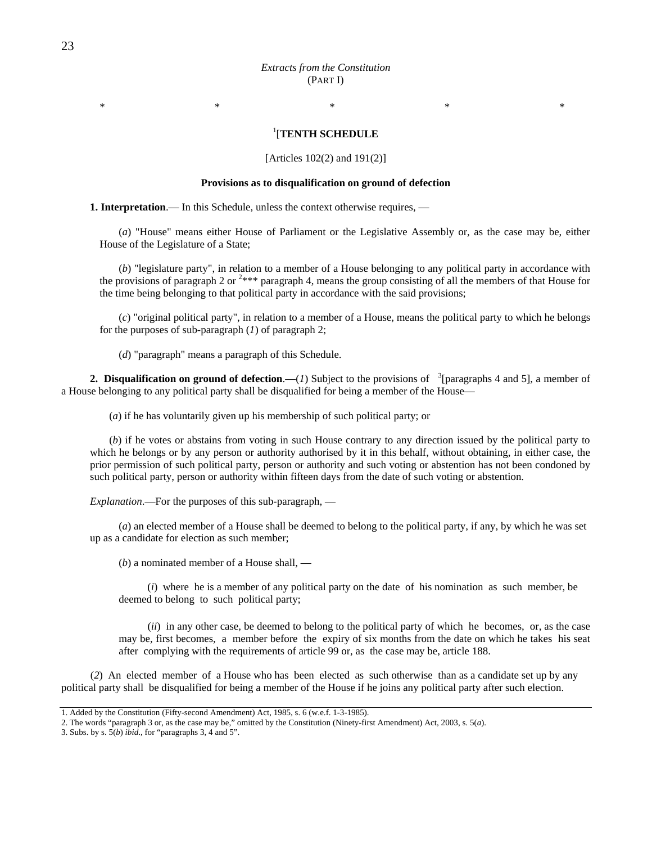$*$   $*$   $*$   $*$   $*$   $*$   $*$   $*$   $*$   $*$ 

# 1 [**TENTH SCHEDULE**

[Articles 102(2) and 191(2)]

#### **Provisions as to disqualification on ground of defection**

**1. Interpretation.**— In this Schedule, unless the context otherwise requires, —

(*a*) "House" means either House of Parliament or the Legislative Assembly or, as the case may be, either House of the Legislature of a State;

(*b*) "legislature party", in relation to a member of a House belonging to any political party in accordance with the provisions of paragraph 2 or  $2***$  paragraph 4, means the group consisting of all the members of that House for the time being belonging to that political party in accordance with the said provisions;

(*c*) "original political party", in relation to a member of a House, means the political party to which he belongs for the purposes of sub-paragraph (*1*) of paragraph 2;

(*d*) "paragraph" means a paragraph of this Schedule.

**2. Disqualification on ground of defection.—(***1***) Subject to the provisions of**  $\frac{3}{7}$  **[paragraphs 4 and 5], a member of** a House belonging to any political party shall be disqualified for being a member of the House—

(*a*) if he has voluntarily given up his membership of such political party; or

(*b*) if he votes or abstains from voting in such House contrary to any direction issued by the political party to which he belongs or by any person or authority authorised by it in this behalf, without obtaining, in either case, the prior permission of such political party, person or authority and such voting or abstention has not been condoned by such political party, person or authority within fifteen days from the date of such voting or abstention.

*Explanation*.—For the purposes of this sub-paragraph, —

(*a*) an elected member of a House shall be deemed to belong to the political party, if any, by which he was set up as a candidate for election as such member;

(*b*) a nominated member of a House shall, —

(*i*) where he is a member of any political party on the date of his nomination as such member, be deemed to belong to such political party;

(*ii*) in any other case, be deemed to belong to the political party of which he becomes, or, as the case may be, first becomes, a member before the expiry of six months from the date on which he takes his seat after complying with the requirements of article 99 or, as the case may be, article 188.

(*2*) An elected member of a House who has been elected as such otherwise than as a candidate set up by any political party shall be disqualified for being a member of the House if he joins any political party after such election.

<sup>1.</sup> Added by the Constitution (Fifty-second Amendment) Act, 1985, s. 6 (w.e.f. 1-3-1985).

<sup>2.</sup> The words "paragraph 3 or, as the case may be," omitted by the Constitution (Ninety-first Amendment) Act, 2003, s. 5(*a*).

<sup>3.</sup> Subs. by s. 5(*b*) *ibid*., for "paragraphs 3, 4 and 5".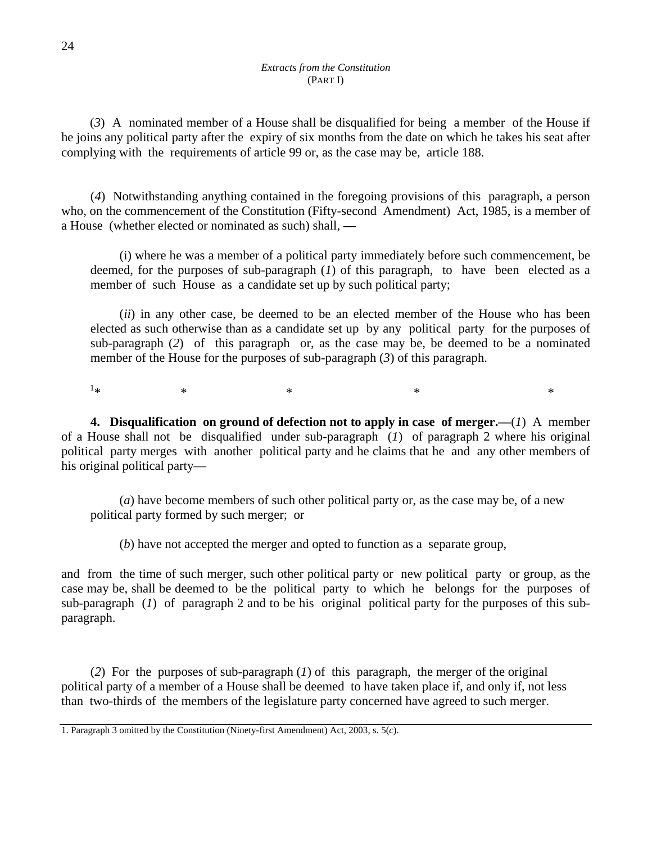(*3*) A nominated member of a House shall be disqualified for being a member of the House if he joins any political party after the expiry of six months from the date on which he takes his seat after complying with the requirements of article 99 or, as the case may be, article 188.

(*4*) Notwithstanding anything contained in the foregoing provisions of this paragraph, a person who, on the commencement of the Constitution (Fifty-second Amendment) Act, 1985, is a member of a House (whether elected or nominated as such) shall, **—**

(i) where he was a member of a political party immediately before such commencement, be deemed, for the purposes of sub-paragraph (*1*) of this paragraph, to have been elected as a member of such House as a candidate set up by such political party;

(*ii*) in any other case, be deemed to be an elected member of the House who has been elected as such otherwise than as a candidate set up by any political party for the purposes of sub-paragraph (*2*) of this paragraph or, as the case may be, be deemed to be a nominated member of the House for the purposes of sub-paragraph (*3*) of this paragraph.

 $1_{\ast}$  $*$  \*  $*$  \*  $*$  \*  $*$  \*  $*$  \*

**4. Disqualification on ground of defection not to apply in case of merger.—**(*1*) A member of a House shall not be disqualified under sub-paragraph (*1*) of paragraph 2 where his original political party merges with another political party and he claims that he and any other members of his original political party—

(*a*) have become members of such other political party or, as the case may be, of a new political party formed by such merger; or

(*b*) have not accepted the merger and opted to function as a separate group,

and from the time of such merger, such other political party or new political party or group, as the case may be, shall be deemed to be the political party to which he belongs for the purposes of sub-paragraph (*1*) of paragraph 2 and to be his original political party for the purposes of this subparagraph.

(*2*) For the purposes of sub-paragraph (*1*) of this paragraph, the merger of the original political party of a member of a House shall be deemed to have taken place if, and only if, not less than two-thirds of the members of the legislature party concerned have agreed to such merger.

<sup>1.</sup> Paragraph 3 omitted by the Constitution (Ninety-first Amendment) Act, 2003, s. 5(*c*).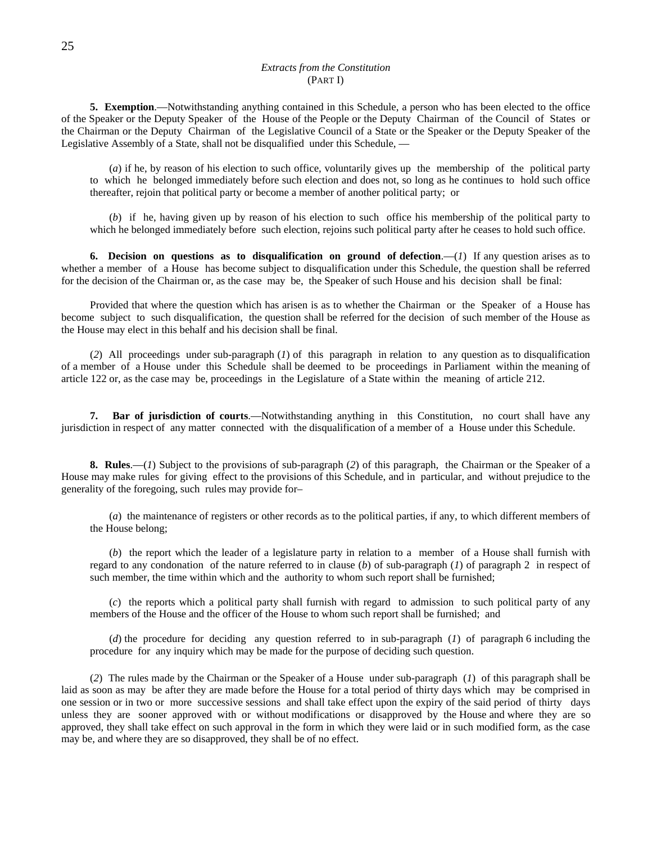**5. Exemption**.—Notwithstanding anything contained in this Schedule, a person who has been elected to the office of the Speaker or the Deputy Speaker of the House of the People or the Deputy Chairman of the Council of States or the Chairman or the Deputy Chairman of the Legislative Council of a State or the Speaker or the Deputy Speaker of the Legislative Assembly of a State, shall not be disqualified under this Schedule, —

(*a*) if he, by reason of his election to such office, voluntarily gives up the membership of the political party to which he belonged immediately before such election and does not, so long as he continues to hold such office thereafter, rejoin that political party or become a member of another political party; or

(*b*) if he, having given up by reason of his election to such office his membership of the political party to which he belonged immediately before such election, rejoins such political party after he ceases to hold such office.

**6. Decision on questions as to disqualification on ground of defection**.—(*1*) If any question arises as to whether a member of a House has become subject to disqualification under this Schedule, the question shall be referred for the decision of the Chairman or, as the case may be, the Speaker of such House and his decision shall be final:

Provided that where the question which has arisen is as to whether the Chairman or the Speaker of a House has become subject to such disqualification, the question shall be referred for the decision of such member of the House as the House may elect in this behalf and his decision shall be final.

(*2*) All proceedings under sub-paragraph (*1*) of this paragraph in relation to any question as to disqualification of a member of a House under this Schedule shall be deemed to be proceedings in Parliament within the meaning of article 122 or, as the case may be, proceedings in the Legislature of a State within the meaning of article 212.

**7. Bar of jurisdiction of courts**.—Notwithstanding anything in this Constitution, no court shall have any jurisdiction in respect of any matter connected with the disqualification of a member of a House under this Schedule.

**8. Rules**.—(*1*) Subject to the provisions of sub-paragraph (*2*) of this paragraph, the Chairman or the Speaker of a House may make rules for giving effect to the provisions of this Schedule, and in particular, and without prejudice to the generality of the foregoing, such rules may provide for–

(*a*) the maintenance of registers or other records as to the political parties, if any, to which different members of the House belong;

(*b*) the report which the leader of a legislature party in relation to a member of a House shall furnish with regard to any condonation of the nature referred to in clause (*b*) of sub-paragraph (*1*) of paragraph 2 in respect of such member, the time within which and the authority to whom such report shall be furnished;

(*c*) the reports which a political party shall furnish with regard to admission to such political party of any members of the House and the officer of the House to whom such report shall be furnished; and

(*d*) the procedure for deciding any question referred to in sub-paragraph (*1*) of paragraph 6 including the procedure for any inquiry which may be made for the purpose of deciding such question.

(*2*) The rules made by the Chairman or the Speaker of a House under sub-paragraph (*1*) of this paragraph shall be laid as soon as may be after they are made before the House for a total period of thirty days which may be comprised in one session or in two or more successive sessions and shall take effect upon the expiry of the said period of thirty days unless they are sooner approved with or without modifications or disapproved by the House and where they are so approved, they shall take effect on such approval in the form in which they were laid or in such modified form, as the case may be, and where they are so disapproved, they shall be of no effect.